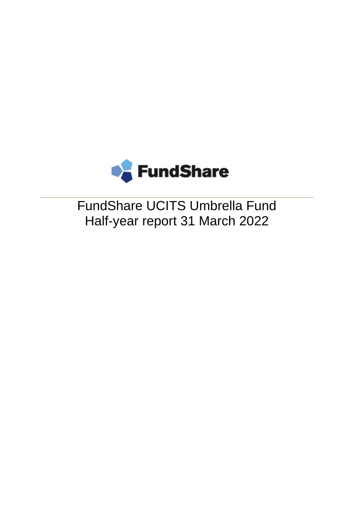

FundShare UCITS Umbrella Fund Half-year report 31 March 2022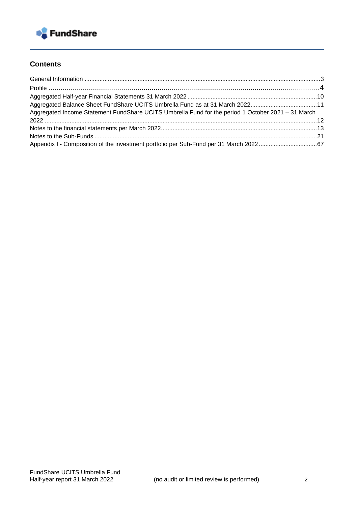

## **Contents**

| Aggregated Income Statement FundShare UCITS Umbrella Fund for the period 1 October 2021 - 31 March |  |
|----------------------------------------------------------------------------------------------------|--|
|                                                                                                    |  |
|                                                                                                    |  |
|                                                                                                    |  |
|                                                                                                    |  |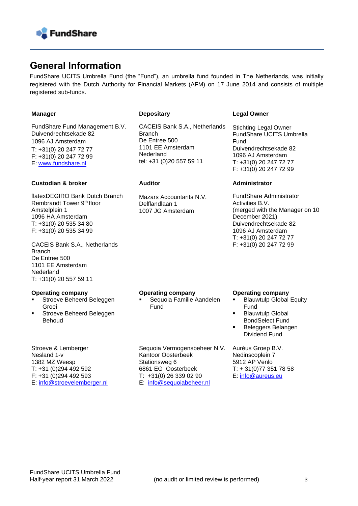

# **General Information**

FundShare UCITS Umbrella Fund (the "Fund"), an umbrella fund founded in The Netherlands, was initially registered with the Dutch Authority for Financial Markets (AFM) on 17 June 2014 and consists of multiple registered sub-funds.

#### **Manager**

FundShare Fund Management B.V. Duivendrechtsekade 82 1096 AJ Amsterdam T: +31(0) 20 247 72 77 F: +31(0) 20 247 72 99 E: [www.fundshare.nl](https://fundshare.nl/)

#### **Custodian & broker**

flatexDEGIRO Bank Dutch Branch Rembrandt Tower 9th floor Amstelplein 1 1096 HA Amsterdam T: +31(0) 20 535 34 80 F: +31(0) 20 535 34 99

CACEIS Bank S.A., Netherlands Branch De Entree 500 1101 EE Amsterdam Nederland T: +31(0) 20 557 59 11

#### **Operating company**

- Stroeve Beheerd Beleggen Groei
- Stroeve Beheerd Beleggen Behoud

Stroeve & Lemberger Nesland 1-v 1382 MZ Weesp T: +31 (0)294 492 592 F: +31 (0)294 492 593 E: [info@stroevelemberger.nl](mailto:info@stroevelemberger.nl)

#### **Depositary**

CACEIS Bank S.A., Netherlands **Branch** De Entree 500 1101 EE Amsterdam **Nederland** tel: +31 (0)20 557 59 11

#### **Auditor**

Mazars Accountants N.V. Delflandlaan 1 1007 JG Amsterdam

#### **Legal Owner**

Stichting Legal Owner FundShare UCITS Umbrella Fund Duivendrechtsekade 82 1096 AJ Amsterdam T: +31(0) 20 247 72 77 F: +31(0) 20 247 72 99

#### **Administrator**

FundShare Administrator Activities B.V. (merged with the Manager on 10 December 2021) Duivendrechtsekade 82 1096 AJ Amsterdam T: +31(0) 20 247 72 77 F: +31(0) 20 247 72 99

#### **Operating company**

Kantoor Oosterbeek Stationsweg 6

6861 EG Oosterbeek T: +31(0) 26 339 02 90 E: [info@sequoiabeheer.nl](mailto:info@sequoiabeheer.nl)

Sequoia Familie Aandelen **Fund** 

Sequoia Vermogensbeheer N.V.

**Operating company** 

- **Blauwtulp Global Equity** Fund
- **Blauwtulp Global** BondSelect Fund
- Beleggers Belangen Dividend Fund

Auréus Groep B.V. Nedinscoplein 7 5912 AP Venlo T: + 31(0)77 351 78 58 E: info@aureus.eu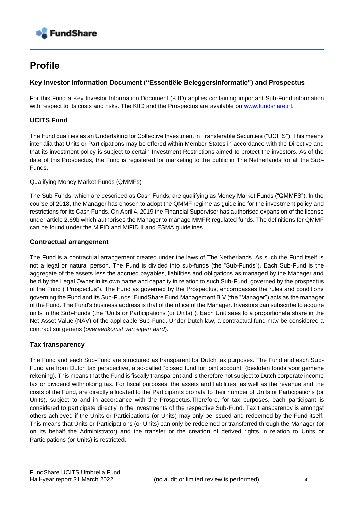

# **Profile**

#### **Key Investor Information Document ("Essentiële Beleggersinformatie") and Prospectus**

For this Fund a Key Investor Information Document (KIID) applies containing important Sub-Fund information with respect to its costs and risks. The KIID and the Prospectus are available on [www.fundshare.nl.](https://management.fundshare.nl/index.php)

### **UCITS Fund**

The Fund qualifies as an Undertaking for Collective Investment in Transferable Securities ("UCITS"). This means inter alia that Units or Participations may be offered within Member States in accordance with the Directive and that its investment policy is subject to certain Investment Restrictions aimed to protect the investors. As of the date of this Prospectus, the Fund is registered for marketing to the public in The Netherlands for all the Sub-Funds.

#### Qualifying Money Market Funds (QMMFs)

The Sub-Funds, which are described as Cash Funds, are qualifying as Money Market Funds ("QMMFS"). In the course of 2018, the Manager has chosen to adopt the QMMF regime as guideline for the investment policy and restrictions for its Cash Funds. On April 4, 2019 the Financial Supervisor has authorised expansion of the license under article 2.69b which authorises the Manager to manage MMFR regulated funds. The definitions for QMMF can be found under the MiFID and MiFID II and ESMA guidelines.

#### **Contractual arrangement**

The Fund is a contractual arrangement created under the laws of The Netherlands. As such the Fund itself is not a legal or natural person. The Fund is divided into sub-funds (the "Sub-Funds"). Each Sub-Fund is the aggregate of the assets less the accrued payables, liabilities and obligations as managed by the Manager and held by the Legal Owner in its own name and capacity in relation to such Sub-Fund, governed by the prospectus of the Fund ("Prospectus"). The Fund as governed by the Prospectus, encompasses the rules and conditions governing the Fund and its Sub-Funds. FundShare Fund Management B.V (the "Manager") acts as the manager of the Fund. The Fund's business address is that of the office of the Manager. Investors can subscribe to acquire units in the Sub-Funds (the "Units or Participations (or Units)"). Each Unit sees to a proportionate share in the Net Asset Value (NAV) of the applicable Sub-Fund. Under Dutch law, a contractual fund may be considered a contract sui generis (*overeenkomst van eigen aard*).

#### **Tax transparency**

The Fund and each Sub-Fund are structured as transparent for Dutch tax purposes. The Fund and each Sub-Fund are from Dutch tax perspective, a so-called "closed fund for joint account" (besloten fonds voor gemene rekening). This means that the Fund is fiscally transparent and is therefore not subject to Dutch corporate income tax or dividend withholding tax. For fiscal purposes, the assets and liabilities, as well as the revenue and the costs of the Fund, are directly allocated to the Participants pro rata to their number of Units or Participations (or Units), subject to and in accordance with the Prospectus.Therefore, for tax purposes, each participant is considered to participate directly in the investments of the respective Sub-Fund. Tax transparency is amongst others achieved if the Units or Participations (or Units) may only be issued and redeemed by the Fund itself. This means that Units or Participations (or Units) can only be redeemed or transferred through the Manager (or on its behalf the Administrator) and the transfer or the creation of derived rights in relation to Units or Participations (or Units) is restricted.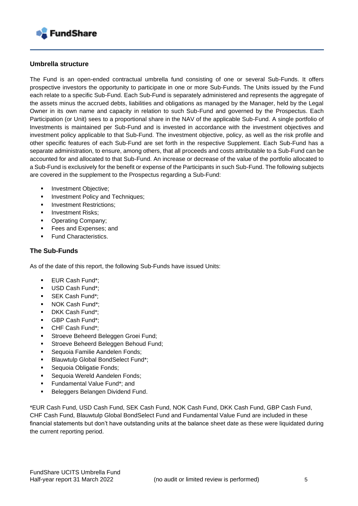

#### **Umbrella structure**

The Fund is an open-ended contractual umbrella fund consisting of one or several Sub-Funds. It offers prospective investors the opportunity to participate in one or more Sub-Funds. The Units issued by the Fund each relate to a specific Sub-Fund. Each Sub-Fund is separately administered and represents the aggregate of the assets minus the accrued debts, liabilities and obligations as managed by the Manager, held by the Legal Owner in its own name and capacity in relation to such Sub-Fund and governed by the Prospectus. Each Participation (or Unit) sees to a proportional share in the NAV of the applicable Sub-Fund. A single portfolio of Investments is maintained per Sub-Fund and is invested in accordance with the investment objectives and investment policy applicable to that Sub-Fund. The investment objective, policy, as well as the risk profile and other specific features of each Sub-Fund are set forth in the respective Supplement. Each Sub-Fund has a separate administration, to ensure, among others, that all proceeds and costs attributable to a Sub-Fund can be accounted for and allocated to that Sub-Fund. An increase or decrease of the value of the portfolio allocated to a Sub-Fund is exclusively for the benefit or expense of the Participants in such Sub-Fund. The following subjects are covered in the supplement to the Prospectus regarding a Sub-Fund:

- **Investment Objective:**
- **■** Investment Policy and Techniques;
- **Investment Restrictions;**
- Investment Risks;
- Operating Company;
- Fees and Expenses; and
- Fund Characteristics.

#### **The Sub-Funds**

As of the date of this report, the following Sub-Funds have issued Units:

- EUR Cash Fund\*;
- USD Cash Fund\*;
- SEK Cash Fund\*:
- NOK Cash Fund\*:
- DKK Cash Fund\*:
- GBP Cash Fund\*;
- CHF Cash Fund\*;
- Stroeve Beheerd Beleggen Groei Fund;
- Stroeve Beheerd Beleggen Behoud Fund;
- Sequoia Familie Aandelen Fonds;
- **Blauwtulp Global BondSelect Fund\*:**
- Sequoia Obligatie Fonds;
- Sequoia Wereld Aandelen Fonds;
- Fundamental Value Fund\*; and
- **E** Beleggers Belangen Dividend Fund.

\*EUR Cash Fund, USD Cash Fund, SEK Cash Fund, NOK Cash Fund, DKK Cash Fund, GBP Cash Fund, CHF Cash Fund, Blauwtulp Global BondSelect Fund and Fundamental Value Fund are included in these financial statements but don't have outstanding units at the balance sheet date as these were liquidated during the current reporting period.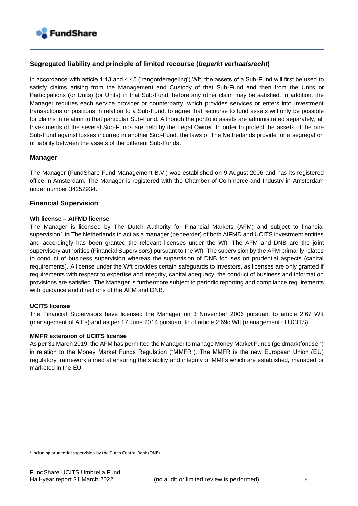

#### **Segregated liability and principle of limited recourse (***beperkt verhaalsrecht***)**

In accordance with article 1:13 and 4:45 ('rangorderegeling') Wft, the assets of a Sub-Fund will first be used to satisfy claims arising from the Management and Custody of that Sub-Fund and then from the Units or Participations (or Units) (or Units) in that Sub-Fund, before any other claim may be satisfied. In addition, the Manager requires each service provider or counterparty, which provides services or enters into Investment transactions or positions in relation to a Sub-Fund, to agree that recourse to fund assets will only be possible for claims in relation to that particular Sub-Fund. Although the portfolio assets are administrated separately, all Investments of the several Sub-Funds are held by the Legal Owner. In order to protect the assets of the one Sub-Fund against losses incurred in another Sub-Fund, the laws of The Netherlands provide for a segregation of liability between the assets of the different Sub-Funds.

#### **Manager**

The Manager (FundShare Fund Management B.V.) was established on 9 August 2006 and has its registered office in Amsterdam. The Manager is registered with the Chamber of Commerce and Industry in Amsterdam under number 34252934.

#### **Financial Supervision**

#### **Wft license – AIFMD license**

The Manager is licensed by The Dutch Authority for Financial Markets (AFM) and subject to financial supervision1 in The Netherlands to act as a manager (beheerder) of both AIFMD and UCITS investment entities and accordingly has been granted the relevant licenses under the Wft. The AFM and DNB are the joint supervisory authorities (Financial Supervisors) pursuant to the Wft. The supervision by the AFM primarily relates to conduct of business supervision whereas the supervision of DNB focuses on prudential aspects (capital requirements). A license under the Wft provides certain safeguards to investors, as licenses are only granted if requirements with respect to expertise and integrity, capital adequacy, the conduct of business and information provisions are satisfied. The Manager is furthermore subject to periodic reporting and compliance requirements with guidance and directions of the AFM and DNB.

#### **UCITS license**

The Financial Supervisors have licensed the Manager on 3 November 2006 pursuant to article 2:67 Wft (management of AIFs) and as per 17 June 2014 pursuant to of article 2:69c Wft (management of UCITS).

#### **MMFR extension of UCITS license**

As per 31 March 2019, the AFM has permitted the Manager to manage Money Market Funds (geldmarktfondsen) in relation to the Money Market Funds Regulation ("MMFR"). The MMFR is the new European Union (EU) regulatory framework aimed at ensuring the stability and integrity of MMFs which are established, managed or marketed in the EU.

<sup>&</sup>lt;sup>1</sup> Including prudential supervision by the Dutch Central Bank (DNB).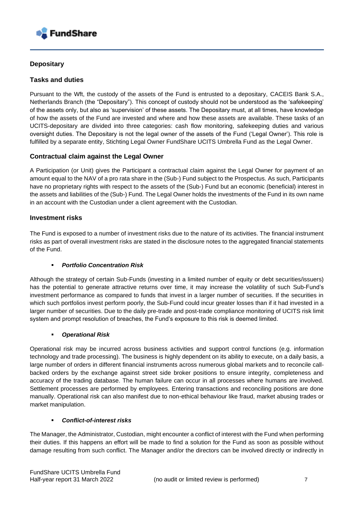

#### **Depositary**

#### **Tasks and duties**

Pursuant to the Wft, the custody of the assets of the Fund is entrusted to a depositary, CACEIS Bank S.A., Netherlands Branch (the "Depositary"). This concept of custody should not be understood as the 'safekeeping' of the assets only, but also as 'supervision' of these assets. The Depositary must, at all times, have knowledge of how the assets of the Fund are invested and where and how these assets are available. These tasks of an UCITS-depositary are divided into three categories: cash flow monitoring, safekeeping duties and various oversight duties. The Depositary is not the legal owner of the assets of the Fund ('Legal Owner'). This role is fulfilled by a separate entity, Stichting Legal Owner FundShare UCITS Umbrella Fund as the Legal Owner.

#### **Contractual claim against the Legal Owner**

A Participation (or Unit) gives the Participant a contractual claim against the Legal Owner for payment of an amount equal to the NAV of a pro rata share in the (Sub-) Fund subject to the Prospectus. As such, Participants have no proprietary rights with respect to the assets of the (Sub-) Fund but an economic (beneficial) interest in the assets and liabilities of the (Sub-) Fund. The Legal Owner holds the investments of the Fund in its own name in an account with the Custodian under a client agreement with the Custodian.

#### **Investment risks**

The Fund is exposed to a number of investment risks due to the nature of its activities. The financial instrument risks as part of overall investment risks are stated in the disclosure notes to the aggregated financial statements of the Fund.

#### ▪ *Portfolio Concentration Risk*

Although the strategy of certain Sub-Funds (investing in a limited number of equity or debt securities/issuers) has the potential to generate attractive returns over time, it may increase the volatility of such Sub-Fund's investment performance as compared to funds that invest in a larger number of securities. If the securities in which such portfolios invest perform poorly, the Sub-Fund could incur greater losses than if it had invested in a larger number of securities. Due to the daily pre-trade and post-trade compliance monitoring of UCITS risk limit system and prompt resolution of breaches, the Fund's exposure to this risk is deemed limited.

#### **Operational Risk**

Operational risk may be incurred across business activities and support control functions (e.g. information technology and trade processing). The business is highly dependent on its ability to execute, on a daily basis, a large number of orders in different financial instruments across numerous global markets and to reconcile callbacked orders by the exchange against street side broker positions to ensure integrity, completeness and accuracy of the trading database. The human failure can occur in all processes where humans are involved. Settlement processes are performed by employees. Entering transactions and reconciling positions are done manually. Operational risk can also manifest due to non-ethical behaviour like fraud, market abusing trades or market manipulation.

#### ▪ *Conflict-of-interest risks*

The Manager, the Administrator, Custodian, might encounter a conflict of interest with the Fund when performing their duties. If this happens an effort will be made to find a solution for the Fund as soon as possible without damage resulting from such conflict. The Manager and/or the directors can be involved directly or indirectly in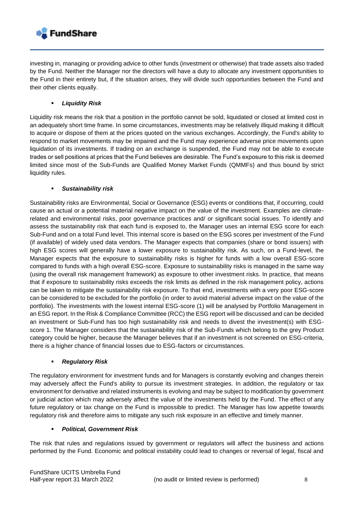

investing in, managing or providing advice to other funds (investment or otherwise) that trade assets also traded by the Fund. Neither the Manager nor the directors will have a duty to allocate any investment opportunities to the Fund in their entirety but, if the situation arises, they will divide such opportunities between the Fund and their other clients equally.

#### **Liquidity Risk**

Liquidity risk means the risk that a position in the portfolio cannot be sold, liquidated or closed at limited cost in an adequately short time frame. In some circumstances, investments may be relatively illiquid making it difficult to acquire or dispose of them at the prices quoted on the various exchanges. Accordingly, the Fund's ability to respond to market movements may be impaired and the Fund may experience adverse price movements upon liquidation of its investments. If trading on an exchange is suspended, the Fund may not be able to execute trades or sell positions at prices that the Fund believes are desirable. The Fund's exposure to this risk is deemed limited since most of the Sub-Funds are Qualified Money Market Funds (QMMFs) and thus bound by strict liquidity rules.

#### ▪ *Sustainability risk*

Sustainability risks are Environmental, Social or Governance (ESG) events or conditions that, if occurring, could cause an actual or a potential material negative impact on the value of the investment. Examples are climaterelated and environmental risks, poor governance practices and/ or significant social issues. To identify and assess the sustainability risk that each fund is exposed to, the Manager uses an internal ESG score for each Sub-Fund and on a total Fund level. This internal score is based on the ESG scores per investment of the Fund (if available) of widely used data vendors. The Manager expects that companies (share or bond issuers) with high ESG scores will generally have a lower exposure to sustainability risk. As such, on a Fund-level, the Manager expects that the exposure to sustainability risks is higher for funds with a low overall ESG-score compared to funds with a high overall ESG-score. Exposure to sustainability risks is managed in the same way (using the overall risk management framework) as exposure to other investment risks. In practice, that means that if exposure to sustainability risks exceeds the risk limits as defined in the risk management policy, actions can be taken to mitigate the sustainability risk exposure. To that end, investments with a very poor ESG-score can be considered to be excluded for the portfolio (in order to avoid material adverse impact on the value of the portfolio). The investments with the lowest internal ESG-score (1) will be analysed by Portfolio Management in an ESG report. In the Risk & Compliance Committee (RCC) the ESG report will be discussed and can be decided an investment or Sub-Fund has too high sustainability risk and needs to divest the investment(s) with ESGscore 1. The Manager considers that the sustainability risk of the Sub-Funds which belong to the grey Product category could be higher, because the Manager believes that if an investment is not screened on ESG-criteria, there is a higher chance of financial losses due to ESG-factors or circumstances.

#### ▪ *Regulatory Risk*

The regulatory environment for investment funds and for Managers is constantly evolving and changes therein may adversely affect the Fund's ability to pursue its investment strategies. In addition, the regulatory or tax environment for derivative and related instruments is evolving and may be subject to modification by government or judicial action which may adversely affect the value of the investments held by the Fund. The effect of any future regulatory or tax change on the Fund is impossible to predict. The Manager has low appetite towards regulatory risk and therefore aims to mitigate any such risk exposure in an effective and timely manner.

#### **Political, Government Risk**

The risk that rules and regulations issued by government or regulators will affect the business and actions performed by the Fund. Economic and political instability could lead to changes or reversal of legal, fiscal and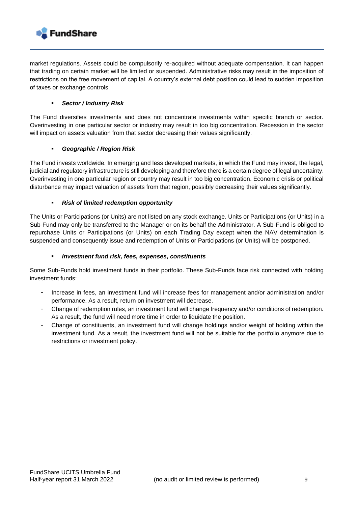

market regulations. Assets could be compulsorily re-acquired without adequate compensation. It can happen that trading on certain market will be limited or suspended. Administrative risks may result in the imposition of restrictions on the free movement of capital. A country's external debt position could lead to sudden imposition of taxes or exchange controls.

#### ▪ *Sector / Industry Risk*

The Fund diversifies investments and does not concentrate investments within specific branch or sector. Overinvesting in one particular sector or industry may result in too big concentration. Recession in the sector will impact on assets valuation from that sector decreasing their values significantly.

#### ▪ *Geographic / Region Risk*

The Fund invests worldwide. In emerging and less developed markets, in which the Fund may invest, the legal, judicial and regulatory infrastructure is still developing and therefore there is a certain degree of legal uncertainty. Overinvesting in one particular region or country may result in too big concentration. Economic crisis or political disturbance may impact valuation of assets from that region, possibly decreasing their values significantly.

#### **Risk of limited redemption opportunity**

The Units or Participations (or Units) are not listed on any stock exchange. Units or Participations (or Units) in a Sub-Fund may only be transferred to the Manager or on its behalf the Administrator. A Sub-Fund is obliged to repurchase Units or Participations (or Units) on each Trading Day except when the NAV determination is suspended and consequently issue and redemption of Units or Participations (or Units) will be postponed.

#### ▪ *Investment fund risk, fees, expenses, constituents*

Some Sub-Funds hold investment funds in their portfolio. These Sub-Funds face risk connected with holding investment funds:

- Increase in fees, an investment fund will increase fees for management and/or administration and/or performance. As a result, return on investment will decrease.
- Change of redemption rules, an investment fund will change frequency and/or conditions of redemption. As a result, the fund will need more time in order to liquidate the position.
- Change of constituents, an investment fund will change holdings and/or weight of holding within the investment fund. As a result, the investment fund will not be suitable for the portfolio anymore due to restrictions or investment policy.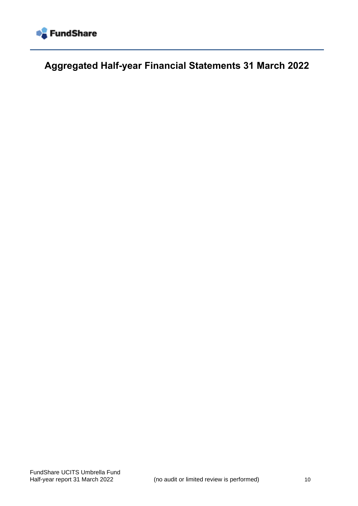

<span id="page-9-0"></span>**Aggregated Half-year Financial Statements 31 March 2022**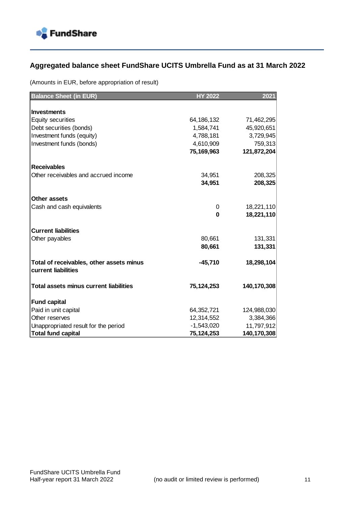

### <span id="page-10-0"></span>**Aggregated balance sheet FundShare UCITS Umbrella Fund as at 31 March 2022**

(Amounts in EUR, before appropriation of result)

| <b>Balance Sheet (in EUR)</b>                                   | <b>HY 2022</b> | 2021        |
|-----------------------------------------------------------------|----------------|-------------|
|                                                                 |                |             |
| <b>Investments</b>                                              |                |             |
| <b>Equity securities</b>                                        | 64, 186, 132   | 71,462,295  |
| Debt securities (bonds)                                         | 1,584,741      | 45,920,651  |
| Investment funds (equity)                                       | 4,788,181      | 3,729,945   |
| Investment funds (bonds)                                        | 4,610,909      | 759,313     |
|                                                                 | 75,169,963     | 121,872,204 |
| <b>Receivables</b>                                              |                |             |
| Other receivables and accrued income                            | 34,951         | 208,325     |
|                                                                 | 34,951         | 208,325     |
| Other assets                                                    |                |             |
| Cash and cash equivalents                                       | 0              | 18,221,110  |
|                                                                 | $\bf{0}$       | 18,221,110  |
| <b>Current liabilities</b>                                      |                |             |
| Other payables                                                  | 80,661         | 131,331     |
|                                                                 | 80,661         | 131,331     |
| Total of receivables, other assets minus<br>current liabilities | $-45,710$      | 18,298,104  |
| Total assets minus current liabilities                          | 75,124,253     | 140,170,308 |
| <b>Fund capital</b>                                             |                |             |
| Paid in unit capital                                            | 64,352,721     | 124,988,030 |
| Other reserves                                                  | 12,314,552     | 3,384,366   |
| Unappropriated result for the period                            | $-1,543,020$   | 11,797,912  |
| Total fund capital                                              | 75,124,253     | 140,170,308 |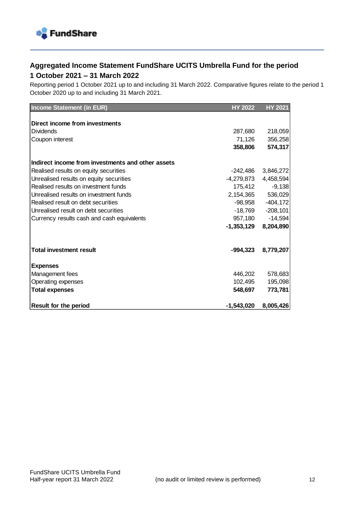

### <span id="page-11-0"></span>**Aggregated Income Statement FundShare UCITS Umbrella Fund for the period 1 October 2021 – 31 March 2022**

Reporting period 1 October 2021 up to and including 31 March 2022. Comparative figures relate to the period 1 October 2020 up to and including 31 March 2021.

| <b>Income Statement (in EUR)</b>                  | <b>HY 2022</b>           | <b>HY 2021</b>     |
|---------------------------------------------------|--------------------------|--------------------|
|                                                   |                          |                    |
| Direct income from investments                    |                          |                    |
| <b>Dividends</b>                                  | 287,680                  | 218,059            |
| Coupon interest                                   | 71,126                   | 356,258            |
|                                                   | 358,806                  | 574,317            |
| Indirect income from investments and other assets |                          |                    |
| Realised results on equity securities             | -242,486                 | 3,846,272          |
| Unrealised results on equity securities           | $-4,279,873$ $4,458,594$ |                    |
| Realised results on investment funds              | 175,412                  | $-9,138$           |
| Unrealised results on investment funds            | 2,154,365                | 536,029            |
| Realised result on debt securities                |                          | $-98,958 -404,172$ |
| Unrealised result on debt securities              | -18,769                  | $-208,101$         |
| Currency results cash and cash equivalents        | 957,180                  | $-14,594$          |
|                                                   | $-1,353,129$             | 8,204,890          |
| <b>Total investment result</b>                    | -994,323                 | 8,779,207          |
|                                                   |                          |                    |
| <b>Expenses</b>                                   |                          |                    |
| Management fees                                   | 446,202                  | 578,683            |
| Operating expenses                                | 102,495                  | 195,098            |
| <b>Total expenses</b>                             | 548,697                  | 773,781            |
| <b>Result for the period</b>                      | -1,543,020               | 8,005,426          |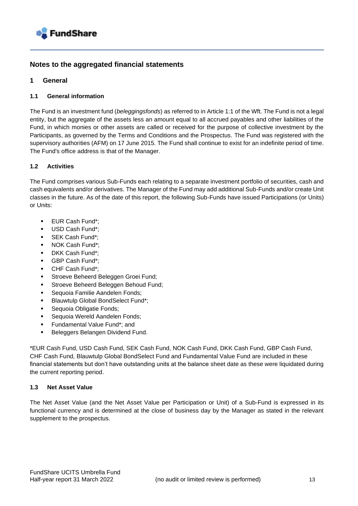

#### <span id="page-12-0"></span>**Notes to the aggregated financial statements**

#### **1 General**

#### **1.1 General information**

The Fund is an investment fund (*beleggingsfonds*) as referred to in Article 1:1 of the Wft. The Fund is not a legal entity, but the aggregate of the assets less an amount equal to all accrued payables and other liabilities of the Fund, in which monies or other assets are called or received for the purpose of collective investment by the Participants, as governed by the Terms and Conditions and the Prospectus. The Fund was registered with the supervisory authorities (AFM) on 17 June 2015. The Fund shall continue to exist for an indefinite period of time. The Fund's office address is that of the Manager.

#### **1.2 Activities**

The Fund comprises various Sub-Funds each relating to a separate investment portfolio of securities, cash and cash equivalents and/or derivatives. The Manager of the Fund may add additional Sub-Funds and/or create Unit classes in the future. As of the date of this report, the following Sub-Funds have issued Participations (or Units) or Units:

- EUR Cash Fund\*:
- USD Cash Fund\*:
- SEK Cash Fund\*:
- NOK Cash Fund\*:
- DKK Cash Fund\*:
- GBP Cash Fund\*:
- CHF Cash Fund\*:
- Stroeve Beheerd Beleggen Groei Fund;
- Stroeve Beheerd Beleggen Behoud Fund;
- Sequoia Familie Aandelen Fonds;
- Blauwtulp Global BondSelect Fund\*;
- Sequoia Obligatie Fonds;
- Sequoia Wereld Aandelen Fonds:
- Fundamental Value Fund\*; and
- Beleggers Belangen Dividend Fund.

\*EUR Cash Fund, USD Cash Fund, SEK Cash Fund, NOK Cash Fund, DKK Cash Fund, GBP Cash Fund, CHF Cash Fund, Blauwtulp Global BondSelect Fund and Fundamental Value Fund are included in these financial statements but don't have outstanding units at the balance sheet date as these were liquidated during the current reporting period.

#### **1.3 Net Asset Value**

The Net Asset Value (and the Net Asset Value per Participation or Unit) of a Sub-Fund is expressed in its functional currency and is determined at the close of business day by the Manager as stated in the relevant supplement to the prospectus.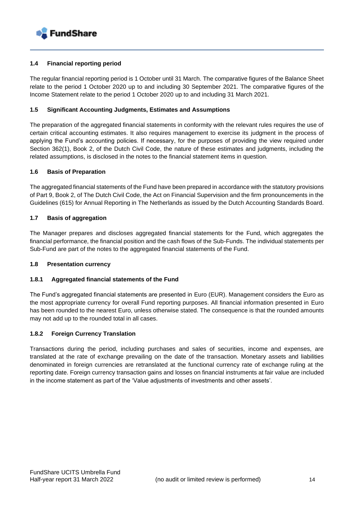

#### **1.4 Financial reporting period**

The regular financial reporting period is 1 October until 31 March. The comparative figures of the Balance Sheet relate to the period 1 October 2020 up to and including 30 September 2021. The comparative figures of the Income Statement relate to the period 1 October 2020 up to and including 31 March 2021.

#### **1.5 Significant Accounting Judgments, Estimates and Assumptions**

The preparation of the aggregated financial statements in conformity with the relevant rules requires the use of certain critical accounting estimates. It also requires management to exercise its judgment in the process of applying the Fund's accounting policies. If necessary, for the purposes of providing the view required under Section 362(1), Book 2, of the Dutch Civil Code, the nature of these estimates and judgments, including the related assumptions, is disclosed in the notes to the financial statement items in question.

#### **1.6 Basis of Preparation**

The aggregated financial statements of the Fund have been prepared in accordance with the statutory provisions of Part 9, Book 2, of The Dutch Civil Code, the Act on Financial Supervision and the firm pronouncements in the Guidelines (615) for Annual Reporting in The Netherlands as issued by the Dutch Accounting Standards Board.

#### **1.7 Basis of aggregation**

The Manager prepares and discloses aggregated financial statements for the Fund, which aggregates the financial performance, the financial position and the cash flows of the Sub-Funds. The individual statements per Sub-Fund are part of the notes to the aggregated financial statements of the Fund.

#### **1.8 Presentation currency**

#### **1.8.1 Aggregated financial statements of the Fund**

The Fund's aggregated financial statements are presented in Euro (EUR). Management considers the Euro as the most appropriate currency for overall Fund reporting purposes. All financial information presented in Euro has been rounded to the nearest Euro, unless otherwise stated. The consequence is that the rounded amounts may not add up to the rounded total in all cases.

#### **1.8.2 Foreign Currency Translation**

Transactions during the period, including purchases and sales of securities, income and expenses, are translated at the rate of exchange prevailing on the date of the transaction. Monetary assets and liabilities denominated in foreign currencies are retranslated at the functional currency rate of exchange ruling at the reporting date. Foreign currency transaction gains and losses on financial instruments at fair value are included in the income statement as part of the 'Value adjustments of investments and other assets'.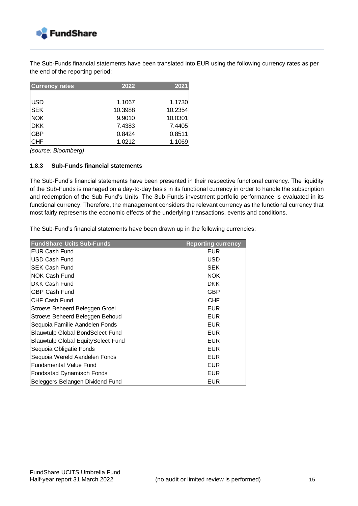

The Sub-Funds financial statements have been translated into EUR using the following currency rates as per the end of the reporting period:

| <b>Currency rates</b> | 2022    | 2021    |
|-----------------------|---------|---------|
|                       |         |         |
| <b>USD</b>            | 1.1067  | 1.1730  |
| <b>SEK</b>            | 10.3988 | 10.2354 |
| <b>NOK</b>            | 9.9010  | 10.0301 |
| <b>DKK</b>            | 7.4383  | 7.4405  |
| <b>GBP</b>            | 0.8424  | 0.8511  |
| <b>CHF</b>            | 1.0212  | 1.1069  |

*(source: Bloomberg)*

#### **1.8.3 Sub-Funds financial statements**

The Sub-Fund's financial statements have been presented in their respective functional currency. The liquidity of the Sub-Funds is managed on a day-to-day basis in its functional currency in order to handle the subscription and redemption of the Sub-Fund's Units. The Sub-Funds investment portfolio performance is evaluated in its functional currency. Therefore, the management considers the relevant currency as the functional currency that most fairly represents the economic effects of the underlying transactions, events and conditions.

The Sub-Fund's financial statements have been drawn up in the following currencies:

| <b>FundShare Ucits Sub-Funds</b>          | <b>Reporting currency</b> |
|-------------------------------------------|---------------------------|
| <b>EUR Cash Fund</b>                      | <b>EUR</b>                |
| <b>USD Cash Fund</b>                      | USD                       |
| <b>SEK Cash Fund</b>                      | <b>SEK</b>                |
| <b>NOK Cash Fund</b>                      | <b>NOK</b>                |
| DKK Cash Fund                             | <b>DKK</b>                |
| <b>GBP Cash Fund</b>                      | GBP                       |
| CHF Cash Fund                             | <b>CHF</b>                |
| Stroeve Beheerd Beleggen Groei            | <b>EUR</b>                |
| Stroeve Beheerd Beleggen Behoud           | <b>EUR</b>                |
| Sequoia Familie Aandelen Fonds            | <b>EUR</b>                |
| <b>Blauwtulp Global BondSelect Fund</b>   | <b>EUR</b>                |
| <b>Blauwtulp Global EquitySelect Fund</b> | <b>EUR</b>                |
| Sequoia Obligatie Fonds                   | <b>EUR</b>                |
| Sequoia Wereld Aandelen Fonds             | <b>EUR</b>                |
| <b>Fundamental Value Fund</b>             | <b>EUR</b>                |
| Fondsstad Dynamisch Fonds                 | <b>EUR</b>                |
| Beleggers Belangen Dividend Fund          | EUR                       |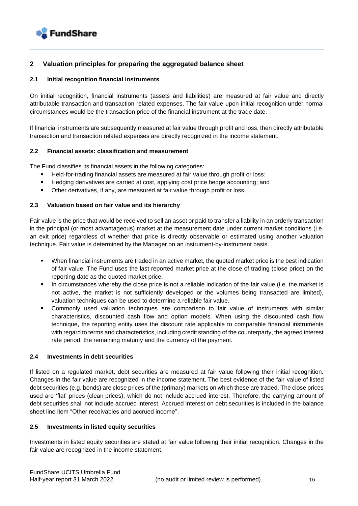

#### **2 Valuation principles for preparing the aggregated balance sheet**

#### **2.1 Initial recognition financial instruments**

On initial recognition, financial instruments (assets and liabilities) are measured at fair value and directly attributable transaction and transaction related expenses. The fair value upon initial recognition under normal circumstances would be the transaction price of the financial instrument at the trade date.

If financial instruments are subsequently measured at fair value through profit and loss, then directly attributable transaction and transaction related expenses are directly recognized in the income statement.

#### **2.2 Financial assets: classification and measurement**

The Fund classifies its financial assets in the following categories:

- **E** Held-for-trading financial assets are measured at fair value through profit or loss;
- Hedging derivatives are carried at cost, applying cost price hedge accounting; and
- Other derivatives, if any, are measured at fair value through profit or loss.

#### **2.3 Valuation based on fair value and its hierarchy**

Fair value is the price that would be received to sell an asset or paid to transfer a liability in an orderly transaction in the principal (or most advantageous) market at the measurement date under current market conditions (i.e. an exit price) regardless of whether that price is directly observable or estimated using another valuation technique. Fair value is determined by the Manager on an instrument-by-instrument basis.

- When financial instruments are traded in an active market, the quoted market price is the best indication of fair value. The Fund uses the last reported market price at the close of trading (close price) on the reporting date as the quoted market price.
- In circumstances whereby the close price is not a reliable indication of the fair value (i.e. the market is not active, the market is not sufficiently developed or the volumes being transacted are limited), valuation techniques can be used to determine a reliable fair value.
- Commonly used valuation techniques are comparison to fair value of instruments with similar characteristics, discounted cash flow and option models. When using the discounted cash flow technique, the reporting entity uses the discount rate applicable to comparable financial instruments with regard to terms and characteristics, including credit standing of the counterparty, the agreed interest rate period, the remaining maturity and the currency of the payment.

#### **2.4 Investments in debt securities**

If listed on a regulated market, debt securities are measured at fair value following their initial recognition. Changes in the fair value are recognized in the income statement. The best evidence of the fair value of listed debt securities (e.g. bonds) are close prices of the (primary) markets on which these are traded. The close prices used are 'flat' prices (clean prices), which do not include accrued interest. Therefore, the carrying amount of debt securities shall not include accrued interest. Accrued interest on debt securities is included in the balance sheet line item "Other receivables and accrued income".

#### **2.5 Investments in listed equity securities**

Investments in listed equity securities are stated at fair value following their initial recognition. Changes in the fair value are recognized in the income statement.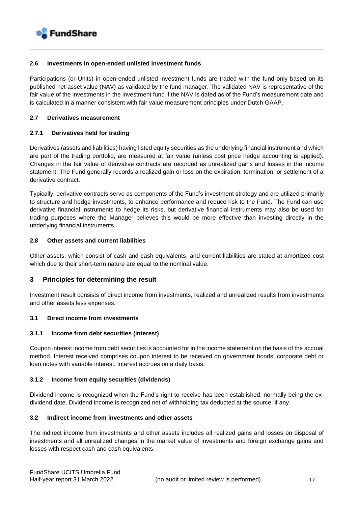

#### **2.6 Investments in open-ended unlisted investment funds**

Participations (or Units) in open-ended unlisted investment funds are traded with the fund only based on its published net asset value (NAV) as validated by the fund manager. The validated NAV is representative of the fair value of the investments in the investment fund if the NAV is dated as of the Fund's measurement date and is calculated in a manner consistent with fair value measurement principles under Dutch GAAP.

#### **2.7 Derivatives measurement**

#### **2.7.1 Derivatives held for trading**

Derivatives (assets and liabilities) having listed equity securities as the underlying financial instrument and which are part of the trading portfolio, are measured at fair value (unless cost price hedge accounting is applied). Changes in the fair value of derivative contracts are recorded as unrealized gains and losses in the income statement. The Fund generally records a realized gain or loss on the expiration, termination, or settlement of a derivative contract.

Typically, derivative contracts serve as components of the Fund's investment strategy and are utilized primarily to structure and hedge investments, to enhance performance and reduce risk to the Fund. The Fund can use derivative financial instruments to hedge its risks, but derivative financial instruments may also be used for trading purposes where the Manager believes this would be more effective than investing directly in the underlying financial instruments.

#### **2.8 Other assets and current liabilities**

Other assets, which consist of cash and cash equivalents, and current liabilities are stated at amortized cost which due to their short-term nature are equal to the nominal value.

#### **3 Principles for determining the result**

Investment result consists of direct income from investments, realized and unrealized results from investments and other assets less expenses.

#### **3.1 Direct income from investments**

#### **3.1.1 Income from debt securities (interest)**

Coupon interest income from debt securities is accounted for in the income statement on the basis of the accrual method. Interest received comprises coupon interest to be received on government bonds, corporate debt or loan notes with variable interest. Interest accrues on a daily basis.

#### **3.1.2 Income from equity securities (dividends)**

Dividend income is recognized when the Fund's right to receive has been established, normally being the exdividend date. Dividend income is recognized net of withholding tax deducted at the source, if any.

#### **3.2 Indirect income from investments and other assets**

The indirect income from investments and other assets includes all realized gains and losses on disposal of investments and all unrealized changes in the market value of investments and foreign exchange gains and losses with respect cash and cash equivalents.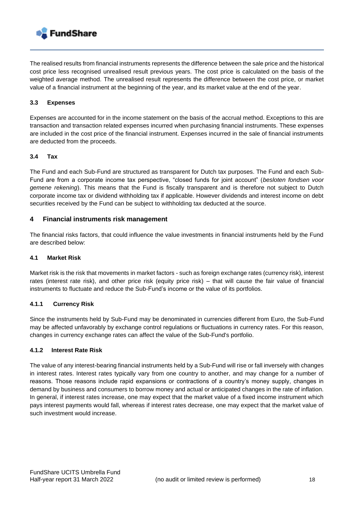

The realised results from financial instruments represents the difference between the sale price and the historical cost price less recognised unrealised result previous years. The cost price is calculated on the basis of the weighted average method. The unrealised result represents the difference between the cost price, or market value of a financial instrument at the beginning of the year, and its market value at the end of the year.

#### **3.3 Expenses**

Expenses are accounted for in the income statement on the basis of the accrual method. Exceptions to this are transaction and transaction related expenses incurred when purchasing financial instruments. These expenses are included in the cost price of the financial instrument. Expenses incurred in the sale of financial instruments are deducted from the proceeds.

#### **3.4 Tax**

The Fund and each Sub-Fund are structured as transparent for Dutch tax purposes. The Fund and each Sub-Fund are from a corporate income tax perspective, "closed funds for joint account" (*besloten fondsen voor gemene rekening*). This means that the Fund is fiscally transparent and is therefore not subject to Dutch corporate income tax or dividend withholding tax if applicable. However dividends and interest income on debt securities received by the Fund can be subject to withholding tax deducted at the source.

#### **4 Financial instruments risk management**

The financial risks factors, that could influence the value investments in financial instruments held by the Fund are described below:

#### **4.1 Market Risk**

Market risk is the risk that movements in market factors - such as foreign exchange rates (currency risk), interest rates (interest rate risk), and other price risk (equity price risk) – that will cause the fair value of financial instruments to fluctuate and reduce the Sub-Fund's income or the value of its portfolios.

#### **4.1.1 Currency Risk**

Since the instruments held by Sub-Fund may be denominated in currencies different from Euro, the Sub-Fund may be affected unfavorably by exchange control regulations or fluctuations in currency rates. For this reason, changes in currency exchange rates can affect the value of the Sub-Fund's portfolio.

#### **4.1.2 Interest Rate Risk**

The value of any interest-bearing financial instruments held by a Sub-Fund will rise or fall inversely with changes in interest rates. Interest rates typically vary from one country to another, and may change for a number of reasons. Those reasons include rapid expansions or contractions of a country's money supply, changes in demand by business and consumers to borrow money and actual or anticipated changes in the rate of inflation. In general, if interest rates increase, one may expect that the market value of a fixed income instrument which pays interest payments would fall, whereas if interest rates decrease, one may expect that the market value of such investment would increase.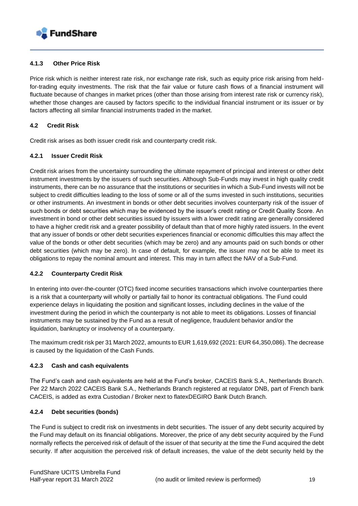

#### **4.1.3 Other Price Risk**

Price risk which is neither interest rate risk, nor exchange rate risk, such as equity price risk arising from heldfor-trading equity investments. The risk that the fair value or future cash flows of a financial instrument will fluctuate because of changes in market prices (other than those arising from interest rate risk or currency risk), whether those changes are caused by factors specific to the individual financial instrument or its issuer or by factors affecting all similar financial instruments traded in the market.

#### **4.2 Credit Risk**

Credit risk arises as both issuer credit risk and counterparty credit risk.

#### **4.2.1 Issuer Credit Risk**

Credit risk arises from the uncertainty surrounding the ultimate repayment of principal and interest or other debt instrument investments by the issuers of such securities. Although Sub-Funds may invest in high quality credit instruments, there can be no assurance that the institutions or securities in which a Sub-Fund invests will not be subject to credit difficulties leading to the loss of some or all of the sums invested in such institutions, securities or other instruments. An investment in bonds or other debt securities involves counterparty risk of the issuer of such bonds or debt securities which may be evidenced by the issuer's credit rating or Credit Quality Score. An investment in bond or other debt securities issued by issuers with a lower credit rating are generally considered to have a higher credit risk and a greater possibility of default than that of more highly rated issuers. In the event that any issuer of bonds or other debt securities experiences financial or economic difficulties this may affect the value of the bonds or other debt securities (which may be zero) and any amounts paid on such bonds or other debt securities (which may be zero). In case of default, for example, the issuer may not be able to meet its obligations to repay the nominal amount and interest. This may in turn affect the NAV of a Sub-Fund.

#### **4.2.2 Counterparty Credit Risk**

In entering into over-the-counter (OTC) fixed income securities transactions which involve counterparties there is a risk that a counterparty will wholly or partially fail to honor its contractual obligations. The Fund could experience delays in liquidating the position and significant losses, including declines in the value of the investment during the period in which the counterparty is not able to meet its obligations. Losses of financial instruments may be sustained by the Fund as a result of negligence, fraudulent behavior and/or the liquidation, bankruptcy or insolvency of a counterparty.

The maximum credit risk per 31 March 2022, amounts to EUR 1,619,692 (2021: EUR 64,350,086). The decrease is caused by the liquidation of the Cash Funds.

#### **4.2.3 Cash and cash equivalents**

The Fund's cash and cash equivalents are held at the Fund's broker, CACEIS Bank S.A., Netherlands Branch. Per 22 March 2022 CACEIS Bank S.A., Netherlands Branch registered at regulator DNB, part of French bank CACEIS, is added as extra Custodian / Broker next to flatexDEGIRO Bank Dutch Branch.

#### **4.2.4 Debt securities (bonds)**

The Fund is subject to credit risk on investments in debt securities. The issuer of any debt security acquired by the Fund may default on its financial obligations. Moreover, the price of any debt security acquired by the Fund normally reflects the perceived risk of default of the issuer of that security at the time the Fund acquired the debt security. If after acquisition the perceived risk of default increases, the value of the debt security held by the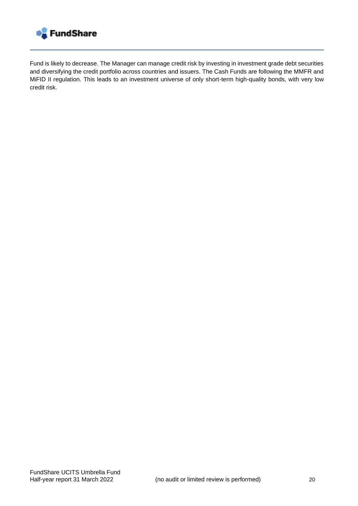

Fund is likely to decrease. The Manager can manage credit risk by investing in investment grade debt securities and diversifying the credit portfolio across countries and issuers. The Cash Funds are following the MMFR and MiFID II regulation. This leads to an investment universe of only short-term high-quality bonds, with very low credit risk.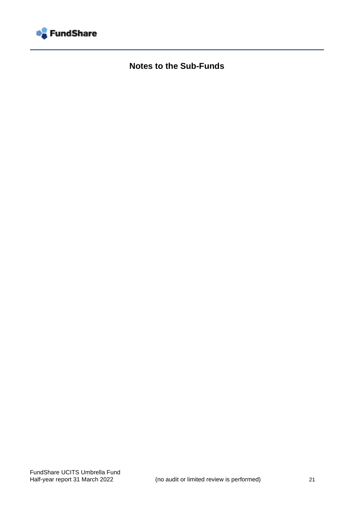<span id="page-20-0"></span>

**Notes to the Sub-Funds**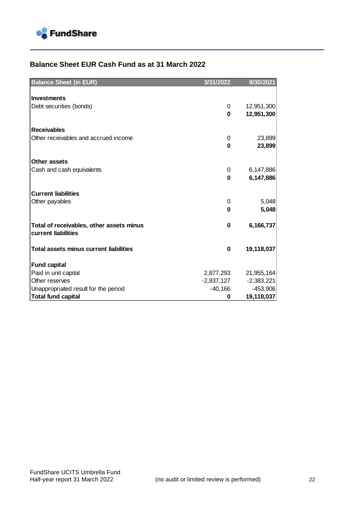

## **Balance Sheet EUR Cash Fund as at 31 March 2022**

| <b>Balance Sheet (in EUR)</b>                                   | 3/31/2022    | 9/30/2021        |
|-----------------------------------------------------------------|--------------|------------------|
|                                                                 |              |                  |
| <b>Investments</b>                                              |              |                  |
| Debt securities (bonds)                                         | 0            | 12,951,300       |
|                                                                 | $\bf{0}$     | 12,951,300       |
|                                                                 |              |                  |
| <b>Receivables</b><br>Other receivables and accrued income      |              |                  |
|                                                                 | 0<br>0       | 23,899<br>23,899 |
|                                                                 |              |                  |
| Other assets                                                    |              |                  |
| Cash and cash equivalents                                       | 0            | 6,147,886        |
|                                                                 | 0            | 6,147,886        |
|                                                                 |              |                  |
| <b>Current liabilities</b>                                      |              |                  |
| Other payables                                                  | 0            | 5,048            |
|                                                                 | 0            | 5,048            |
|                                                                 |              |                  |
| Total of receivables, other assets minus<br>current liabilities | 0            | 6,166,737        |
|                                                                 |              |                  |
| <b>Total assets minus current liabilities</b>                   | 0            | 19,118,037       |
|                                                                 |              |                  |
| <b>Fund capital</b>                                             |              |                  |
| Paid in unit capital                                            | 2,877,293    | 21,955,164       |
| Other reserves                                                  | $-2,837,127$ | $-2,383,221$     |
| Unappropriated result for the period                            | $-40,166$    | $-453,906$       |
| <b>Total fund capital</b>                                       | 0            | 19,118,037       |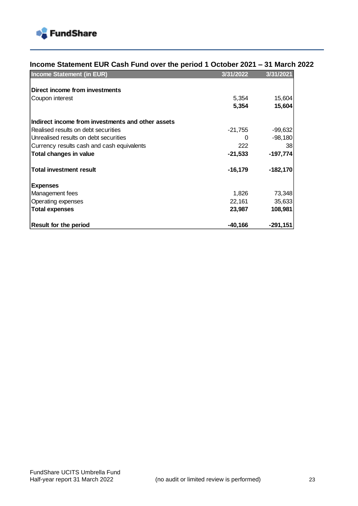

| Income Statement EUR Cash Fund over the period 1 October 2021 – 31 March 2022 |  |  |
|-------------------------------------------------------------------------------|--|--|
|                                                                               |  |  |
|                                                                               |  |  |

| <b>Income Statement (in EUR)</b>                  | 3/31/2022 | 3/31/2021  |
|---------------------------------------------------|-----------|------------|
| Direct income from investments                    |           |            |
| Coupon interest                                   | 5,354     | 15,604     |
|                                                   | 5,354     | 15,604     |
| Indirect income from investments and other assets |           |            |
| Realised results on debt securities               | $-21,755$ | $-99,632$  |
| Unrealised results on debt securities             | 0         | -98,180    |
| Currency results cash and cash equivalents        | 222       | 38         |
| Total changes in value                            | $-21,533$ | $-197,774$ |
| <b>Total investment result</b>                    | $-16,179$ | $-182,170$ |
| <b>Expenses</b>                                   |           |            |
| Management fees                                   | 1,826     | 73,348     |
| Operating expenses                                | 22,161    | 35,633     |
| <b>Total expenses</b>                             | 23,987    | 108,981    |
| <b>Result for the period</b>                      | $-40,166$ | -291,151   |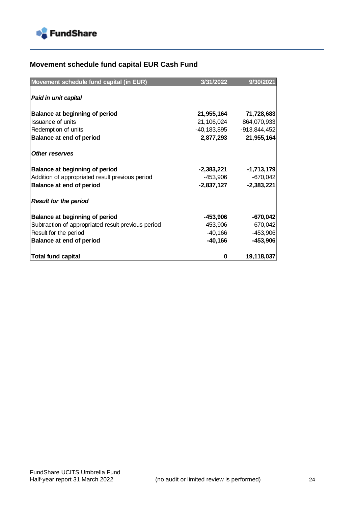

# **Movement schedule fund capital EUR Cash Fund**

| Movement schedule fund capital (in EUR)            | 3/31/2022   | 9/30/2021      |
|----------------------------------------------------|-------------|----------------|
|                                                    |             |                |
| Paid in unit capital                               |             |                |
| Balance at beginning of period                     | 21,955,164  | 71,728,683     |
| <b>Issuance of units</b>                           | 21,106,024  | 864,070,933    |
| Redemption of units                                | -40,183,895 | $-913,844,452$ |
| Balance at end of period                           | 2,877,293   | 21,955,164     |
| <b>Other reserves</b>                              |             |                |
| Balance at beginning of period                     | -2,383,221  | $-1,713,179$   |
| Addition of appropriated result previous period    | -453,906    | $-670,042$     |
| Balance at end of period                           | -2,837,127  | $-2,383,221$   |
| <b>Result for the period</b>                       |             |                |
| Balance at beginning of period                     | -453,906    | $-670,042$     |
| Subtraction of appropriated result previous period | 453,906     | 670,042        |
| Result for the period                              | -40,166     | $-453,906$     |
| Balance at end of period                           | $-40,166$   | $-453,906$     |
| <b>Total fund capital</b>                          | 0           | 19,118,037     |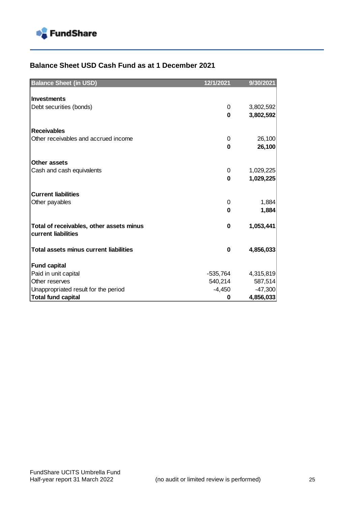

### **Balance Sheet USD Cash Fund as at 1 December 2021**

| <b>Balance Sheet (in USD)</b>                 | 12/1/2021  | 9/30/2021 |
|-----------------------------------------------|------------|-----------|
|                                               |            |           |
| <b>Investments</b>                            |            |           |
| Debt securities (bonds)                       | 0          | 3,802,592 |
|                                               | $\bf{0}$   | 3,802,592 |
|                                               |            |           |
| <b>Receivables</b>                            |            |           |
| Other receivables and accrued income          | 0          | 26,100    |
|                                               | 0          | 26,100    |
| Other assets                                  |            |           |
| Cash and cash equivalents                     | 0          | 1,029,225 |
|                                               | 0          | 1,029,225 |
|                                               |            |           |
| <b>Current liabilities</b>                    |            |           |
| Other payables                                | 0          | 1,884     |
|                                               | $\bf{0}$   | 1,884     |
|                                               |            |           |
| Total of receivables, other assets minus      | 0          | 1,053,441 |
| current liabilities                           |            |           |
|                                               |            |           |
| <b>Total assets minus current liabilities</b> | $\bf{0}$   | 4,856,033 |
| <b>Fund capital</b>                           |            |           |
| Paid in unit capital                          | $-535,764$ | 4,315,819 |
| Other reserves                                | 540,214    | 587,514   |
| Unappropriated result for the period          | $-4,450$   | $-47,300$ |
| <b>Total fund capital</b>                     | 0          | 4,856,033 |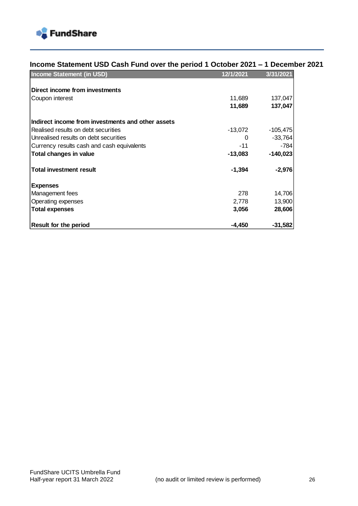

### **Income Statement USD Cash Fund over the period 1 October 2021 – 1 December 2021**

| <b>Income Statement (in USD)</b>                  | 12/1/2021 | 3/31/2021  |
|---------------------------------------------------|-----------|------------|
| Direct income from investments                    |           |            |
| Coupon interest                                   | 11,689    | 137,047    |
|                                                   | 11,689    | 137,047    |
| Indirect income from investments and other assets |           |            |
| Realised results on debt securities               | $-13,072$ | $-105,475$ |
| Unrealised results on debt securities             | 0         | $-33,764$  |
| Currency results cash and cash equivalents        | $-11$     | $-784$     |
| Total changes in value                            | $-13,083$ | $-140,023$ |
| <b>Total investment result</b>                    | $-1,394$  | $-2,976$   |
| <b>Expenses</b>                                   |           |            |
| Management fees                                   | 278       | 14,706     |
| Operating expenses                                | 2,778     | 13,900     |
| <b>Total expenses</b>                             | 3,056     | 28,606     |
| <b>Result for the period</b>                      | $-4,450$  | $-31,582$  |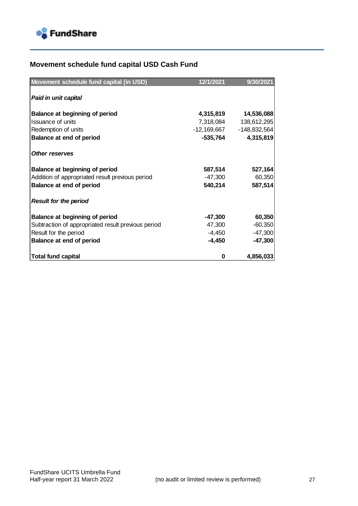

# **Movement schedule fund capital USD Cash Fund**

| Movement schedule fund capital (in USD)            | 12/1/2021   | 9/30/2021      |
|----------------------------------------------------|-------------|----------------|
| Paid in unit capital                               |             |                |
|                                                    |             |                |
| Balance at beginning of period                     | 4,315,819   | 14,536,088     |
| <b>Issuance of units</b>                           | 7,318,084   | 138,612,295    |
| Redemption of units                                | -12,169,667 | $-148,832,564$ |
| Balance at end of period                           | -535,764    | 4,315,819      |
| <b>Other reserves</b>                              |             |                |
| Balance at beginning of period                     | 587,514     | 527,164        |
| Addition of appropriated result previous period    | -47,300     | 60,350         |
| Balance at end of period                           | 540,214     | 587,514        |
| <b>Result for the period</b>                       |             |                |
| Balance at beginning of period                     | $-47,300$   | 60,350         |
| Subtraction of appropriated result previous period | 47,300      | $-60,350$      |
| Result for the period                              | -4,450      | $-47,300$      |
| Balance at end of period                           | -4,450      | $-47,300$      |
| <b>Total fund capital</b>                          | 0           | 4,856,033      |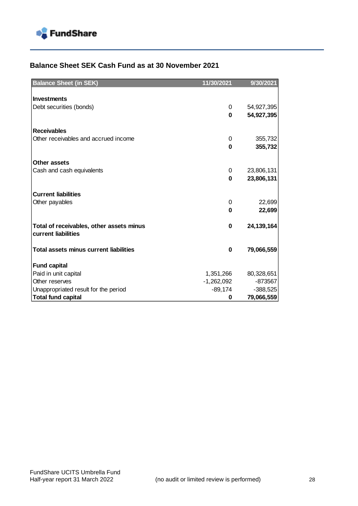

### **Balance Sheet SEK Cash Fund as at 30 November 2021**

| <b>Balance Sheet (in SEK)</b>                 | 11/30/2021   | 9/30/2021    |
|-----------------------------------------------|--------------|--------------|
|                                               |              |              |
| Investments                                   |              |              |
| Debt securities (bonds)                       | 0            | 54,927,395   |
|                                               | 0            | 54,927,395   |
|                                               |              |              |
| <b>Receivables</b>                            |              |              |
| Other receivables and accrued income          | 0            | 355,732      |
|                                               | O            | 355,732      |
|                                               |              |              |
| <b>Other assets</b>                           |              |              |
| Cash and cash equivalents                     | 0            | 23,806,131   |
|                                               | 0            | 23,806,131   |
| <b>Current liabilities</b>                    |              |              |
| Other payables                                | 0            | 22,699       |
|                                               | 0            | 22,699       |
|                                               |              |              |
| Total of receivables, other assets minus      | 0            | 24, 139, 164 |
| current liabilities                           |              |              |
|                                               |              |              |
| <b>Total assets minus current liabilities</b> | 0            | 79,066,559   |
|                                               |              |              |
| <b>Fund capital</b>                           |              |              |
| Paid in unit capital                          | 1,351,266    | 80,328,651   |
| Other reserves                                | $-1,262,092$ | -873567      |
| Unappropriated result for the period          | $-89,174$    | $-388,525$   |
| <b>Total fund capital</b>                     | 0            | 79,066,559   |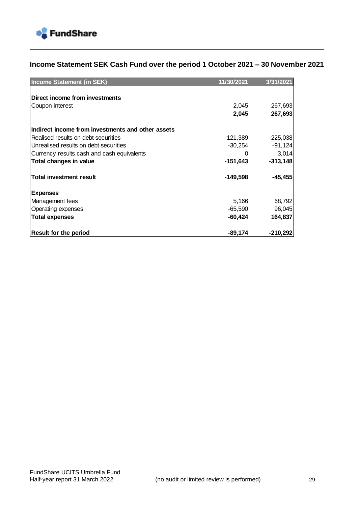

## **Income Statement SEK Cash Fund over the period 1 October 2021 – 30 November 2021**

| <b>Income Statement (in SEK)</b>                  | 11/30/2021 | 3/31/2021  |
|---------------------------------------------------|------------|------------|
|                                                   |            |            |
| Direct income from investments                    |            |            |
| Coupon interest                                   | 2,045      | 267,693    |
|                                                   | 2,045      | 267,693    |
| Indirect income from investments and other assets |            |            |
| Realised results on debt securities               | $-121,389$ | $-225,038$ |
| Unrealised results on debt securities             | $-30,254$  | $-91,124$  |
| Currency results cash and cash equivalents        |            | 3,014      |
| <b>Total changes in value</b>                     | $-151,643$ | $-313,148$ |
| <b>Total investment result</b>                    | $-149,598$ | $-45,455$  |
| <b>Expenses</b>                                   |            |            |
| Management fees                                   | 5,166      | 68,792     |
| Operating expenses                                | -65,590    | 96,045     |
| <b>Total expenses</b>                             | $-60,424$  | 164,837    |
| <b>Result for the period</b>                      | $-89,174$  | $-210,292$ |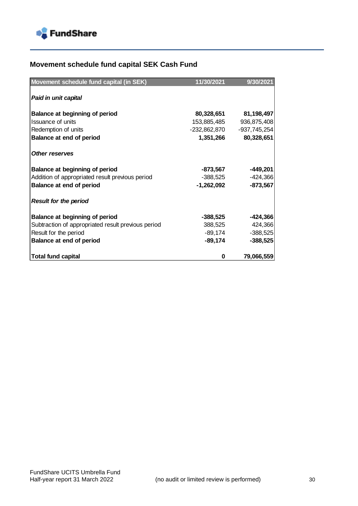

# **Movement schedule fund capital SEK Cash Fund**

| Movement schedule fund capital (in SEK)            | 11/30/2021   | 9/30/2021    |
|----------------------------------------------------|--------------|--------------|
| Paid in unit capital                               |              |              |
|                                                    |              |              |
| Balance at beginning of period                     | 80,328,651   | 81,198,497   |
| Issuance of units                                  | 153,885,485  | 936,875,408  |
| Redemption of units                                | -232,862,870 | -937,745,254 |
| Balance at end of period                           | 1,351,266    | 80,328,651   |
|                                                    |              |              |
| <b>Other reserves</b>                              |              |              |
| Balance at beginning of period                     | -873,567     | $-449,201$   |
| Addition of appropriated result previous period    | -388,525     | $-424,366$   |
| Balance at end of period                           | -1,262,092   | $-873,567$   |
| <b>Result for the period</b>                       |              |              |
| Balance at beginning of period                     | -388,525     | $-424,366$   |
| Subtraction of appropriated result previous period | 388,525      | 424,366      |
| Result for the period                              | -89,174      | $-388,525$   |
| Balance at end of period                           | -89,174      | $-388,525$   |
| <b>Total fund capital</b>                          | 0            | 79,066,559   |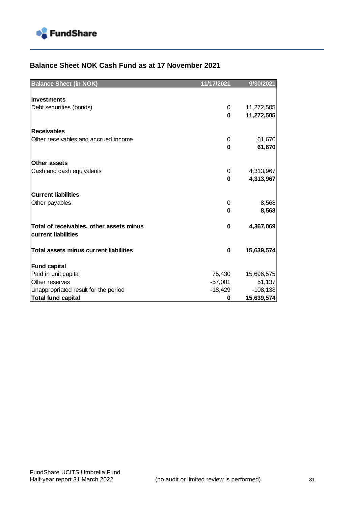

### **Balance Sheet NOK Cash Fund as at 17 November 2021**

| <b>Balance Sheet (in NOK)</b>                 | 11/17/2021 | 9/30/2021  |
|-----------------------------------------------|------------|------------|
|                                               |            |            |
| <b>Investments</b>                            |            |            |
| Debt securities (bonds)                       | 0          | 11,272,505 |
|                                               | $\bf{0}$   | 11,272,505 |
|                                               |            |            |
| <b>Receivables</b>                            |            |            |
| Other receivables and accrued income          | 0          | 61,670     |
|                                               | 0          | 61,670     |
| Other assets                                  |            |            |
| Cash and cash equivalents                     | 0          | 4,313,967  |
|                                               | $\bf{0}$   | 4,313,967  |
|                                               |            |            |
| <b>Current liabilities</b>                    |            |            |
| Other payables                                | 0          | 8,568      |
|                                               | $\bf{0}$   | 8,568      |
|                                               |            |            |
| Total of receivables, other assets minus      | $\bf{0}$   | 4,367,069  |
| current liabilities                           |            |            |
| <b>Total assets minus current liabilities</b> |            |            |
|                                               | 0          | 15,639,574 |
| <b>Fund capital</b>                           |            |            |
| Paid in unit capital                          | 75,430     | 15,696,575 |
| Other reserves                                | $-57,001$  | 51,137     |
| Unappropriated result for the period          | $-18,429$  | $-108,138$ |
| <b>Total fund capital</b>                     | 0          | 15,639,574 |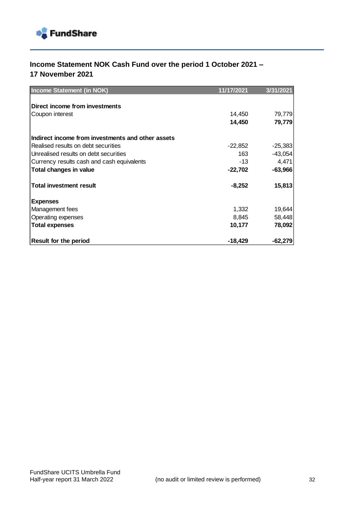

## **Income Statement NOK Cash Fund over the period 1 October 2021 – 17 November 2021**

| <b>Income Statement (in NOK)</b>                  | 11/17/2021 | 3/31/2021 |
|---------------------------------------------------|------------|-----------|
|                                                   |            |           |
| Direct income from investments                    |            |           |
| Coupon interest                                   | 14,450     | 79,779    |
|                                                   | 14,450     | 79,779    |
| Indirect income from investments and other assets |            |           |
| Realised results on debt securities               | $-22,852$  | $-25,383$ |
| Unrealised results on debt securities             | 163        | $-43,054$ |
| Currency results cash and cash equivalents        | -13        | 4,471     |
| Total changes in value                            | -22,702    | $-63,966$ |
| <b>Total investment result</b>                    | $-8,252$   | 15,813    |
| <b>Expenses</b>                                   |            |           |
| Management fees                                   | 1,332      | 19,644    |
| Operating expenses                                | 8,845      | 58,448    |
| <b>Total expenses</b>                             | 10,177     | 78,092    |
| <b>Result for the period</b>                      | -18,429    | $-62,279$ |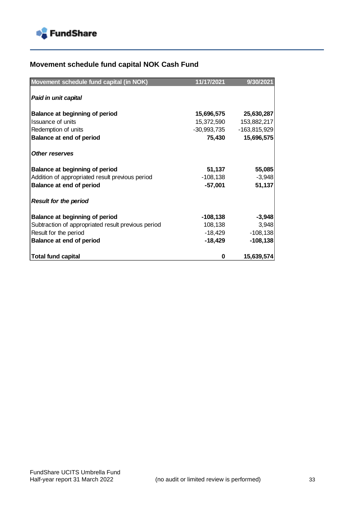

# **Movement schedule fund capital NOK Cash Fund**

| Movement schedule fund capital (in NOK)            | 11/17/2021  | 9/30/2021      |
|----------------------------------------------------|-------------|----------------|
|                                                    |             |                |
| Paid in unit capital                               |             |                |
| <b>Balance at beginning of period</b>              | 15,696,575  | 25,630,287     |
| <b>Issuance of units</b>                           | 15,372,590  | 153,882,217    |
| Redemption of units                                | -30,993,735 | $-163,815,929$ |
| <b>Balance at end of period</b>                    | 75,430      | 15,696,575     |
| <b>Other reserves</b>                              |             |                |
| Balance at beginning of period                     | 51,137      | 55,085         |
| Addition of appropriated result previous period    | $-108,138$  | $-3,948$       |
| Balance at end of period                           | -57,001     | 51,137         |
| <b>Result for the period</b>                       |             |                |
| Balance at beginning of period                     | -108,138    | $-3,948$       |
| Subtraction of appropriated result previous period | 108,138     | 3,948          |
| Result for the period                              | -18,429     | $-108,138$     |
| Balance at end of period                           | -18,429     | $-108, 138$    |
| <b>Total fund capital</b>                          | 0           | 15,639,574     |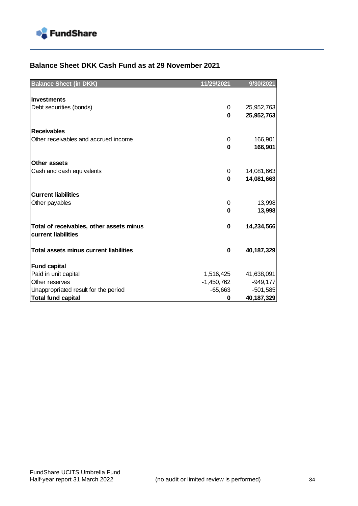

### **Balance Sheet DKK Cash Fund as at 29 November 2021**

| <b>Balance Sheet (in DKK)</b>                                   | 11/29/2021   | 9/30/2021    |
|-----------------------------------------------------------------|--------------|--------------|
|                                                                 |              |              |
| <b>Investments</b>                                              |              |              |
| Debt securities (bonds)                                         | 0            | 25,952,763   |
|                                                                 | $\bf{0}$     | 25,952,763   |
|                                                                 |              |              |
| <b>Receivables</b>                                              |              |              |
| Other receivables and accrued income                            | 0            | 166,901      |
|                                                                 | $\bf{0}$     | 166,901      |
| Other assets                                                    |              |              |
| Cash and cash equivalents                                       | 0            | 14,081,663   |
|                                                                 | $\bf{0}$     | 14,081,663   |
|                                                                 |              |              |
| <b>Current liabilities</b>                                      |              |              |
| Other payables                                                  | 0            | 13,998       |
|                                                                 | 0            | 13,998       |
|                                                                 |              |              |
| Total of receivables, other assets minus<br>current liabilities | 0            | 14,234,566   |
|                                                                 |              |              |
| <b>Total assets minus current liabilities</b>                   | 0            | 40,187,329   |
|                                                                 |              |              |
| <b>Fund capital</b>                                             |              |              |
| Paid in unit capital                                            | 1,516,425    | 41,638,091   |
| Other reserves                                                  | $-1,450,762$ | $-949,177$   |
| Unappropriated result for the period                            | $-65,663$    | $-501,585$   |
| <b>Total fund capital</b>                                       | 0            | 40, 187, 329 |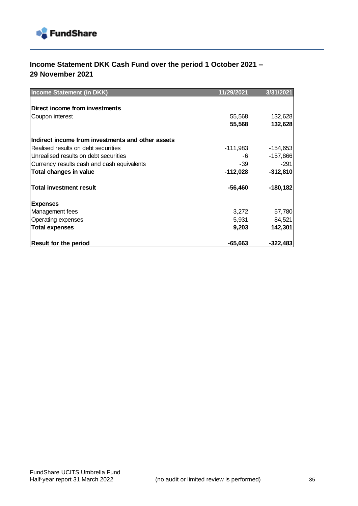

## **Income Statement DKK Cash Fund over the period 1 October 2021 – 29 November 2021**

| <b>Income Statement (in DKK)</b>                  | 11/29/2021 | 3/31/2021  |
|---------------------------------------------------|------------|------------|
|                                                   |            |            |
| Direct income from investments                    |            |            |
| Coupon interest                                   | 55,568     | 132,628    |
|                                                   | 55,568     | 132,628    |
| Indirect income from investments and other assets |            |            |
| Realised results on debt securities               | -111,983   | $-154,653$ |
| Unrealised results on debt securities             | -6         | $-157,866$ |
| Currency results cash and cash equivalents        | -39        | $-291$     |
| Total changes in value                            | $-112,028$ | $-312,810$ |
| <b>Total investment result</b>                    | $-56,460$  | -180,182   |
| <b>Expenses</b>                                   |            |            |
| Management fees                                   | 3,272      | 57,780     |
| Operating expenses                                | 5,931      | 84,521     |
| <b>Total expenses</b>                             | 9,203      | 142,301    |
| <b>Result for the period</b>                      | $-65,663$  | $-322,483$ |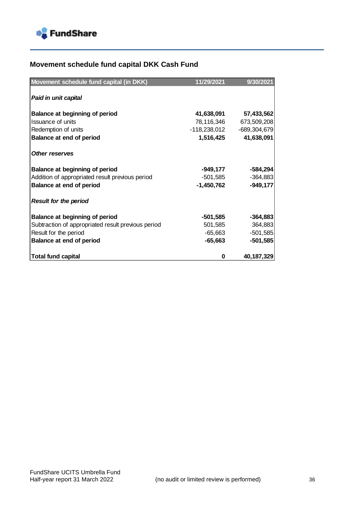

# **Movement schedule fund capital DKK Cash Fund**

| Movement schedule fund capital (in DKK)            | 11/29/2021   | 9/30/2021      |
|----------------------------------------------------|--------------|----------------|
| Paid in unit capital                               |              |                |
|                                                    |              |                |
| Balance at beginning of period                     | 41,638,091   | 57,433,562     |
| Issuance of units                                  | 78,116,346   | 673,509,208    |
| Redemption of units                                | -118,238,012 | $-689,304,679$ |
| Balance at end of period                           | 1,516,425    | 41,638,091     |
| <b>Other reserves</b>                              |              |                |
| Balance at beginning of period                     | -949,177     | $-584,294$     |
| Addition of appropriated result previous period    | -501,585     | $-364,883$     |
| <b>Balance at end of period</b>                    | -1,450,762   | $-949,177$     |
| <b>Result for the period</b>                       |              |                |
| <b>Balance at beginning of period</b>              | -501,585     | $-364,883$     |
| Subtraction of appropriated result previous period | 501,585      | 364,883        |
| Result for the period                              | -65,663      | $-501,585$     |
| Balance at end of period                           | $-65,663$    | $-501,585$     |
| <b>Total fund capital</b>                          | 0            | 40,187,329     |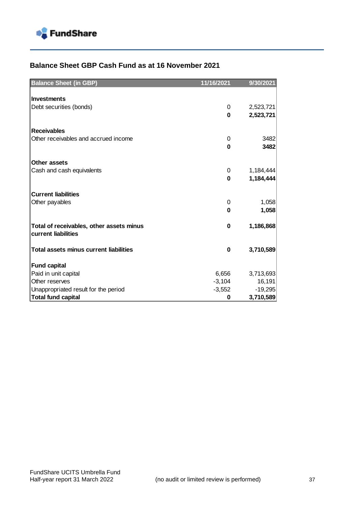

### **Balance Sheet GBP Cash Fund as at 16 November 2021**

| <b>Balance Sheet (in GBP)</b>                 | 11/16/2021    | 9/30/2021              |
|-----------------------------------------------|---------------|------------------------|
|                                               |               |                        |
| <b>Investments</b>                            |               |                        |
| Debt securities (bonds)                       | 0             | 2,523,721              |
|                                               | $\bf{0}$      | 2,523,721              |
|                                               |               |                        |
| <b>Receivables</b>                            |               |                        |
| Other receivables and accrued income          | 0             | 3482                   |
|                                               | 0             | 3482                   |
|                                               |               |                        |
| Other assets                                  |               |                        |
| Cash and cash equivalents                     | 0<br>$\bf{0}$ | 1,184,444<br>1,184,444 |
|                                               |               |                        |
| <b>Current liabilities</b>                    |               |                        |
| Other payables                                | 0             | 1,058                  |
|                                               | 0             | 1,058                  |
|                                               |               |                        |
| Total of receivables, other assets minus      | $\bf{0}$      | 1,186,868              |
| current liabilities                           |               |                        |
|                                               |               |                        |
| <b>Total assets minus current liabilities</b> | 0             | 3,710,589              |
|                                               |               |                        |
| <b>Fund capital</b>                           |               |                        |
| Paid in unit capital                          | 6,656         | 3,713,693              |
| Other reserves                                | $-3,104$      | 16,191                 |
| Unappropriated result for the period          | $-3,552$      | $-19,295$              |
| <b>Total fund capital</b>                     | 0             | 3,710,589              |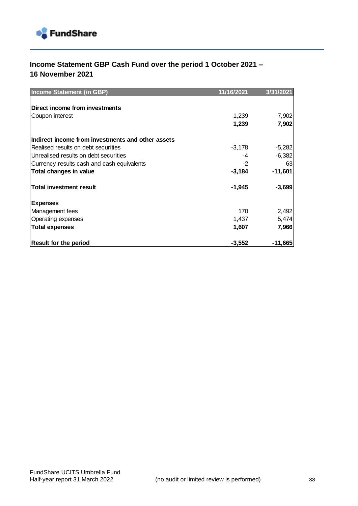

## **Income Statement GBP Cash Fund over the period 1 October 2021 – 16 November 2021**

| <b>Income Statement (in GBP)</b>                  | 11/16/2021 | 3/31/2021 |
|---------------------------------------------------|------------|-----------|
|                                                   |            |           |
| Direct income from investments                    |            |           |
| Coupon interest                                   | 1,239      | 7,902     |
|                                                   | 1,239      | 7,902     |
| Indirect income from investments and other assets |            |           |
| Realised results on debt securities               | $-3,178$   | $-5,282$  |
| Unrealised results on debt securities             | -4         | $-6,382$  |
| Currency results cash and cash equivalents        | $-2$       | 63        |
| Total changes in value                            | $-3,184$   | $-11,601$ |
| <b>Total investment result</b>                    | $-1,945$   | $-3,699$  |
| <b>Expenses</b>                                   |            |           |
| Management fees                                   | 170        | 2,492     |
| Operating expenses                                | 1,437      | 5,474     |
| <b>Total expenses</b>                             | 1,607      | 7,966     |
| <b>Result for the period</b>                      | $-3,552$   | $-11,665$ |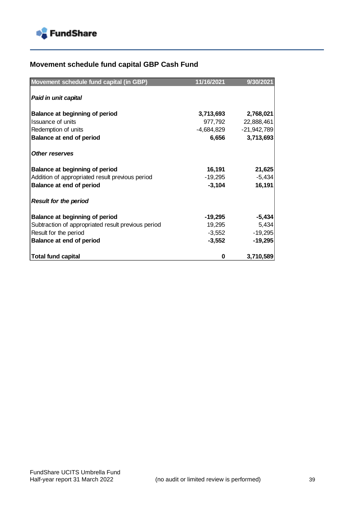

# **Movement schedule fund capital GBP Cash Fund**

| Movement schedule fund capital (in GBP)            | 11/16/2021 | 9/30/2021     |
|----------------------------------------------------|------------|---------------|
|                                                    |            |               |
| Paid in unit capital                               |            |               |
| Balance at beginning of period                     | 3,713,693  | 2,768,021     |
| <b>Issuance of units</b>                           | 977,792    | 22,888,461    |
| Redemption of units                                | -4,684,829 | $-21,942,789$ |
| <b>Balance at end of period</b>                    | 6,656      | 3,713,693     |
| <b>Other reserves</b>                              |            |               |
| Balance at beginning of period                     | 16,191     | 21,625        |
| Addition of appropriated result previous period    | $-19,295$  | $-5,434$      |
| Balance at end of period                           | $-3,104$   | 16,191        |
| <b>Result for the period</b>                       |            |               |
| Balance at beginning of period                     | -19,295    | $-5,434$      |
| Subtraction of appropriated result previous period | 19,295     | 5,434         |
| Result for the period                              | $-3,552$   | $-19,295$     |
| Balance at end of period                           | $-3,552$   | $-19,295$     |
| <b>Total fund capital</b>                          | 0          | 3,710,589     |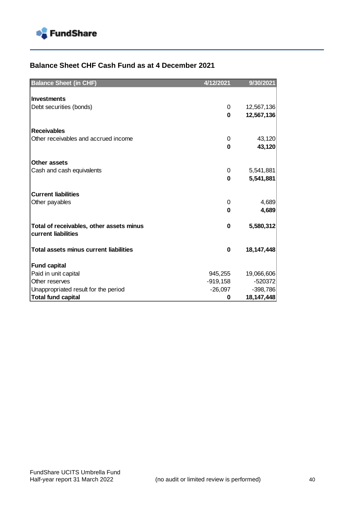

### **Balance Sheet CHF Cash Fund as at 4 December 2021**

| <b>Balance Sheet (in CHF)</b>                                   | 4/12/2021  | 9/30/2021    |
|-----------------------------------------------------------------|------------|--------------|
|                                                                 |            |              |
| <b>Investments</b>                                              |            |              |
| Debt securities (bonds)                                         | 0          | 12,567,136   |
|                                                                 | $\bf{0}$   | 12,567,136   |
| <b>Receivables</b>                                              |            |              |
| Other receivables and accrued income                            | 0          | 43,120       |
|                                                                 | $\bf{0}$   | 43,120       |
|                                                                 |            |              |
| Other assets                                                    |            |              |
| Cash and cash equivalents                                       | 0          | 5,541,881    |
|                                                                 | $\bf{0}$   | 5,541,881    |
|                                                                 |            |              |
| <b>Current liabilities</b>                                      |            |              |
| Other payables                                                  | 0          | 4,689        |
|                                                                 | $\bf{0}$   | 4,689        |
|                                                                 | 0          | 5,580,312    |
| Total of receivables, other assets minus<br>current liabilities |            |              |
|                                                                 |            |              |
| <b>Total assets minus current liabilities</b>                   | 0          | 18,147,448   |
|                                                                 |            |              |
| <b>Fund capital</b>                                             |            |              |
| Paid in unit capital                                            | 945,255    | 19,066,606   |
| Other reserves                                                  | $-919,158$ | $-520372$    |
| Unappropriated result for the period                            | $-26,097$  | $-398,786$   |
| <b>Total fund capital</b>                                       | 0          | 18, 147, 448 |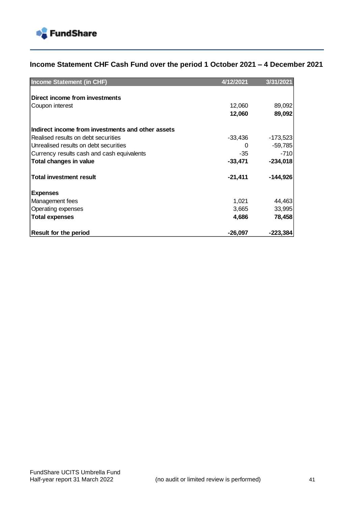

## **Income Statement CHF Cash Fund over the period 1 October 2021 – 4 December 2021**

| <b>Income Statement (in CHF)</b>                  | 4/12/2021 | 3/31/2021  |
|---------------------------------------------------|-----------|------------|
|                                                   |           |            |
| Direct income from investments                    |           |            |
| Coupon interest                                   | 12,060    | 89,092     |
|                                                   | 12,060    | 89,092     |
| Indirect income from investments and other assets |           |            |
| Realised results on debt securities               | $-33,436$ | $-173,523$ |
| Unrealised results on debt securities             | 0         | $-59,785$  |
| Currency results cash and cash equivalents        | -35       | $-710$     |
| <b>Total changes in value</b>                     | $-33,471$ | $-234,018$ |
| <b>Total investment result</b>                    | $-21,411$ | $-144,926$ |
| <b>Expenses</b>                                   |           |            |
| Management fees                                   | 1,021     | 44,463     |
| Operating expenses                                | 3,665     | 33,995     |
| <b>Total expenses</b>                             | 4,686     | 78,458     |
| Result for the period                             | $-26,097$ | -223,384   |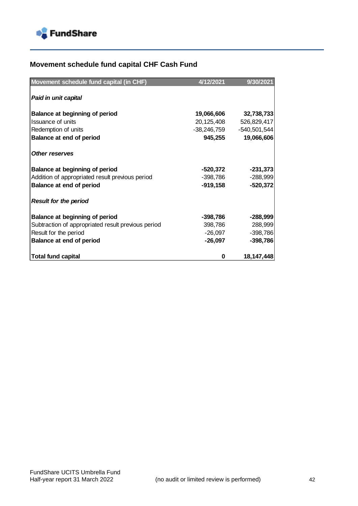

# **Movement schedule fund capital CHF Cash Fund**

| Movement schedule fund capital (in CHF)            | 4/12/2021   | 9/30/2021    |
|----------------------------------------------------|-------------|--------------|
|                                                    |             |              |
| Paid in unit capital                               |             |              |
| Balance at beginning of period                     | 19,066,606  | 32,738,733   |
| Issuance of units                                  | 20,125,408  | 526,829,417  |
| Redemption of units                                | -38,246,759 | -540,501,544 |
| Balance at end of period                           | 945,255     | 19,066,606   |
| <b>Other reserves</b>                              |             |              |
| <b>Balance at beginning of period</b>              | -520,372    | $-231,373$   |
| Addition of appropriated result previous period    | -398,786    | $-288,999$   |
| Balance at end of period                           | -919,158    | $-520,372$   |
| <b>Result for the period</b>                       |             |              |
| Balance at beginning of period                     | -398,786    | $-288,999$   |
| Subtraction of appropriated result previous period | 398,786     | 288,999      |
| Result for the period                              | -26,097     | $-398,786$   |
| Balance at end of period                           | $-26,097$   | $-398,786$   |
| <b>Total fund capital</b>                          | 0           | 18, 147, 448 |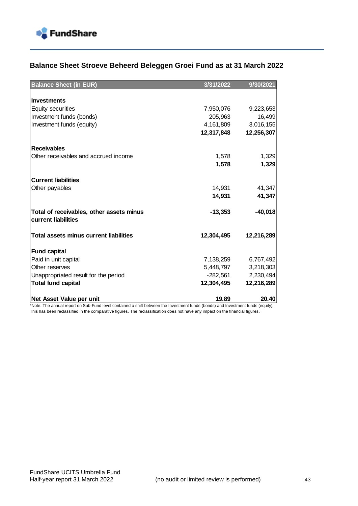

### **Balance Sheet Stroeve Beheerd Beleggen Groei Fund as at 31 March 2022**

| <b>Balance Sheet (in EUR)</b>                                   | 3/31/2022  | 9/30/2021  |
|-----------------------------------------------------------------|------------|------------|
|                                                                 |            |            |
| <b>Investments</b>                                              |            |            |
| <b>Equity securities</b>                                        | 7,950,076  | 9,223,653  |
| Investment funds (bonds)                                        | 205,963    | 16,499     |
| Investment funds (equity)                                       | 4,161,809  | 3,016,155  |
|                                                                 | 12,317,848 | 12,256,307 |
| <b>Receivables</b>                                              |            |            |
| Other receivables and accrued income                            | 1,578      | 1,329      |
|                                                                 | 1,578      | 1,329      |
| <b>Current liabilities</b>                                      |            |            |
| Other payables                                                  | 14,931     | 41,347     |
|                                                                 | 14,931     | 41,347     |
| Total of receivables, other assets minus<br>current liabilities | $-13,353$  | $-40,018$  |
| <b>Total assets minus current liabilities</b>                   | 12,304,495 | 12,216,289 |
| <b>Fund capital</b>                                             |            |            |
| Paid in unit capital                                            | 7,138,259  | 6,767,492  |
| Other reserves                                                  | 5,448,797  | 3,218,303  |
| Unappropriated result for the period                            | -282,561   | 2,230,494  |
| <b>Total fund capital</b>                                       | 12,304,495 | 12,216,289 |
| Net Asset Value per unit                                        | 19.89      | 20.40      |

\*Note: The annual report on Sub-Fund level contained a shift between the Investment funds (bonds) and Investment funds (equity). This has been reclassified in the comparative figures. The reclassification does not have any impact on the financial figures.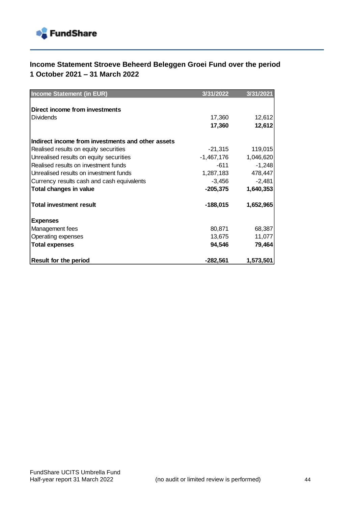

## **Income Statement Stroeve Beheerd Beleggen Groei Fund over the period 1 October 2021 – 31 March 2022**

| <b>Income Statement (in EUR)</b>                  | 3/31/2022  | 3/31/2021 |
|---------------------------------------------------|------------|-----------|
|                                                   |            |           |
| <b>Direct income from investments</b>             |            |           |
| <b>Dividends</b>                                  | 17,360     | 12,612    |
|                                                   | 17,360     | 12,612    |
| Indirect income from investments and other assets |            |           |
| Realised results on equity securities             | -21,315    | 119,015   |
| Unrealised results on equity securities           | -1,467,176 | 1,046,620 |
| Realised results on investment funds              | $-611$     | $-1,248$  |
| Unrealised results on investment funds            | 1,287,183  | 478,447   |
| Currency results cash and cash equivalents        | $-3,456$   | $-2,481$  |
| <b>Total changes in value</b>                     | $-205,375$ | 1,640,353 |
| <b>Total investment result</b>                    | $-188,015$ | 1,652,965 |
| <b>Expenses</b>                                   |            |           |
| Management fees                                   | 80,871     | 68,387    |
| Operating expenses                                | 13,675     | 11,077    |
| <b>Total expenses</b>                             | 94,546     | 79,464    |
| <b>Result for the period</b>                      | $-282,561$ | 1,573,501 |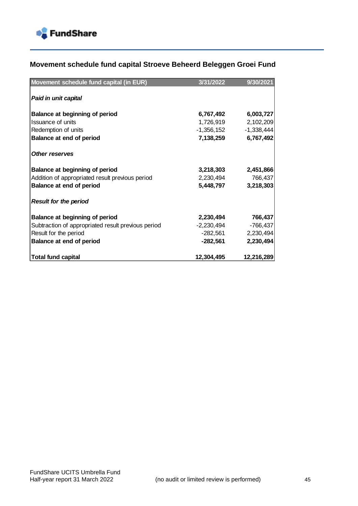

### **Movement schedule fund capital Stroeve Beheerd Beleggen Groei Fund**

| Movement schedule fund capital (in EUR)            | 3/31/2022    | 9/30/2021    |
|----------------------------------------------------|--------------|--------------|
| Paid in unit capital                               |              |              |
| Balance at beginning of period                     | 6,767,492    | 6,003,727    |
| Issuance of units                                  | 1,726,919    | 2,102,209    |
| Redemption of units                                | -1,356,152   | $-1,338,444$ |
| Balance at end of period                           | 7,138,259    | 6,767,492    |
| <b>Other reserves</b>                              |              |              |
| Balance at beginning of period                     | 3,218,303    | 2,451,866    |
| Addition of appropriated result previous period    | 2,230,494    | 766,437      |
| Balance at end of period                           | 5,448,797    | 3,218,303    |
| <b>Result for the period</b>                       |              |              |
| Balance at beginning of period                     | 2,230,494    | 766,437      |
| Subtraction of appropriated result previous period | $-2,230,494$ | $-766,437$   |
| Result for the period                              | -282,561     | 2,230,494    |
| Balance at end of period                           | -282,561     | 2,230,494    |
| <b>Total fund capital</b>                          | 12,304,495   | 12,216,289   |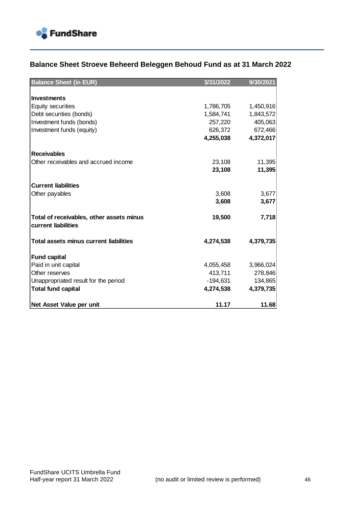

## **Balance Sheet Stroeve Beheerd Beleggen Behoud Fund as at 31 March 2022**

| <b>Balance Sheet (in EUR)</b>                                   | 3/31/2022  | 9/30/2021 |
|-----------------------------------------------------------------|------------|-----------|
|                                                                 |            |           |
| <b>Investments</b>                                              |            |           |
| <b>Equity securities</b>                                        | 1,786,705  | 1,450,916 |
| Debt securities (bonds)                                         | 1,584,741  | 1,843,572 |
| Investment funds (bonds)                                        | 257,220    | 405,063   |
| Investment funds (equity)                                       | 626,372    | 672,466   |
|                                                                 | 4,255,038  | 4,372,017 |
| <b>Receivables</b>                                              |            |           |
| Other receivables and accrued income                            | 23,108     | 11,395    |
|                                                                 | 23,108     | 11,395    |
|                                                                 |            |           |
| <b>Current liabilities</b>                                      |            |           |
| Other payables                                                  | 3,608      | 3,677     |
|                                                                 | 3,608      | 3,677     |
|                                                                 |            |           |
| Total of receivables, other assets minus<br>current liabilities | 19,500     | 7,718     |
|                                                                 |            |           |
| <b>Total assets minus current liabilities</b>                   | 4,274,538  | 4,379,735 |
| <b>Fund capital</b>                                             |            |           |
| Paid in unit capital                                            | 4,055,458  | 3,966,024 |
| Other reserves                                                  | 413,711    | 278,846   |
| Unappropriated result for the period                            | $-194,631$ | 134,865   |
| <b>Total fund capital</b>                                       | 4,274,538  | 4,379,735 |
|                                                                 |            |           |
| Net Asset Value per unit                                        | 11.17      | 11.68     |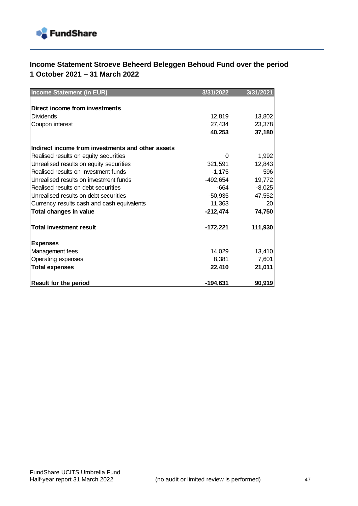

## **Income Statement Stroeve Beheerd Beleggen Behoud Fund over the period 1 October 2021 – 31 March 2022**

| Income Statement (in EUR)                         | 3/31/2022  | 3/31/2021 |
|---------------------------------------------------|------------|-----------|
|                                                   |            |           |
| Direct income from investments                    |            |           |
| Dividends                                         | 12,819     | 13,802    |
| Coupon interest                                   | 27,434     | 23,378    |
|                                                   | 40,253     | 37,180    |
| Indirect income from investments and other assets |            |           |
| Realised results on equity securities             | 0          | 1,992     |
| Unrealised results on equity securities           | 321.591    | 12,843    |
| Realised results on investment funds              | $-1,175$   | 596       |
| Unrealised results on investment funds            | -492,654   | 19,772    |
| Realised results on debt securities               | $-664$     | $-8,025$  |
| Unrealised results on debt securities             | -50.935    | 47,552    |
| Currency results cash and cash equivalents        | 11,363     | 20        |
| Total changes in value                            | $-212,474$ | 74,750    |
| <b>Total investment result</b>                    | $-172,221$ | 111,930   |
| <b>Expenses</b>                                   |            |           |
| Management fees                                   | 14,029     | 13,410    |
| Operating expenses                                | 8,381      | 7,601     |
| <b>Total expenses</b>                             | 22,410     | 21,011    |
| <b>Result for the period</b>                      | $-194,631$ | 90,919    |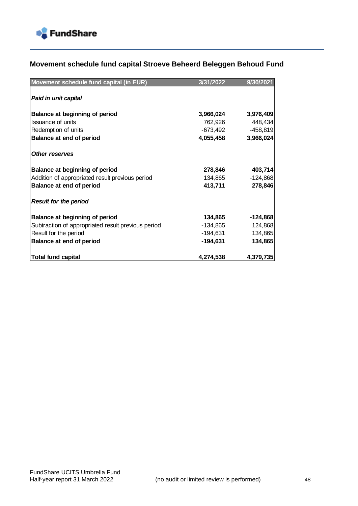

### **Movement schedule fund capital Stroeve Beheerd Beleggen Behoud Fund**

| Movement schedule fund capital (in EUR)            | 3/31/2022 | 9/30/2021  |
|----------------------------------------------------|-----------|------------|
| Paid in unit capital                               |           |            |
| Balance at beginning of period                     | 3,966,024 | 3,976,409  |
| Issuance of units                                  | 762,926   | 448,434    |
| Redemption of units                                | -673,492  | $-458,819$ |
| Balance at end of period                           | 4,055,458 | 3,966,024  |
| <b>Other reserves</b>                              |           |            |
| Balance at beginning of period                     | 278,846   | 403,714    |
| Addition of appropriated result previous period    | 134,865   | $-124,868$ |
| Balance at end of period                           | 413,711   | 278,846    |
| <b>Result for the period</b>                       |           |            |
| Balance at beginning of period                     | 134,865   | $-124,868$ |
| Subtraction of appropriated result previous period | -134,865  | 124,868    |
| Result for the period                              | -194,631  | 134,865    |
| Balance at end of period                           | -194,631  | 134,865    |
| <b>Total fund capital</b>                          | 4,274,538 | 4,379,735  |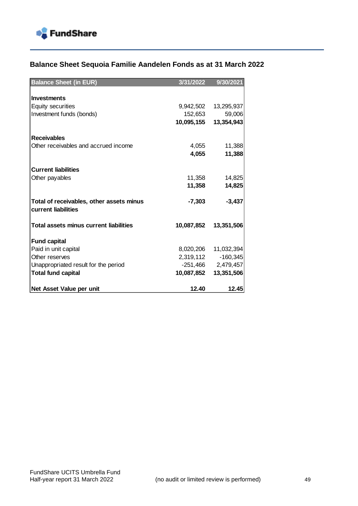

## **Balance Sheet Sequoia Familie Aandelen Fonds as at 31 March 2022**

| <b>Balance Sheet (in EUR)</b>            | 3/31/2022  | 9/30/2021  |
|------------------------------------------|------------|------------|
|                                          |            |            |
| <b>Investments</b>                       |            |            |
| <b>Equity securities</b>                 | 9,942,502  | 13,295,937 |
| Investment funds (bonds)                 | 152,653    | 59,006     |
|                                          | 10,095,155 | 13,354,943 |
|                                          |            |            |
| <b>Receivables</b>                       |            |            |
| Other receivables and accrued income     | 4,055      | 11,388     |
|                                          | 4,055      | 11,388     |
|                                          |            |            |
| <b>Current liabilities</b>               |            |            |
| Other payables                           | 11,358     | 14,825     |
|                                          | 11,358     | 14,825     |
| Total of receivables, other assets minus | $-7,303$   | $-3,437$   |
| current liabilities                      |            |            |
| Total assets minus current liabilities   | 10,087,852 | 13,351,506 |
|                                          |            |            |
| <b>Fund capital</b>                      |            |            |
| Paid in unit capital                     | 8,020,206  | 11,032,394 |
| Other reserves                           | 2,319,112  | $-160,345$ |
| Unappropriated result for the period     | -251,466   | 2,479,457  |
| <b>Total fund capital</b>                | 10,087,852 | 13,351,506 |
|                                          |            |            |
| Net Asset Value per unit                 | 12.40      | 12.45      |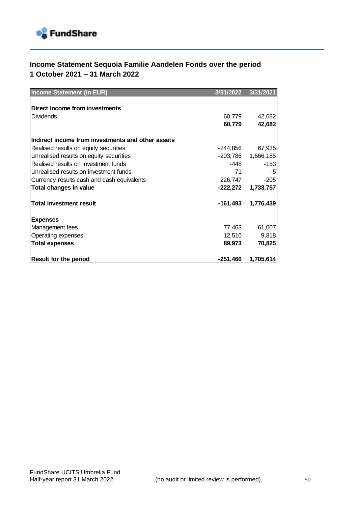

## **Income Statement Sequoia Familie Aandelen Fonds over the period 1 October 2021 – 31 March 2022**

| <b>Income Statement (in EUR)</b>                  | 3/31/2022  | 3/31/2021 |
|---------------------------------------------------|------------|-----------|
|                                                   |            |           |
| Direct income from investments                    |            |           |
| Dividends                                         | 60,779     | 42,682    |
|                                                   | 60,779     | 42,682    |
| Indirect income from investments and other assets |            |           |
| Realised results on equity securities             | -244,856   | 67,935    |
| Unrealised results on equity securities           | -203,786   | 1,666,185 |
| Realised results on investment funds              | -448       | $-153$    |
| Unrealised results on investment funds            | 71         | -5        |
| Currency results cash and cash equivalents        | 226,747    | $-205$    |
| Total changes in value                            | $-222,272$ | 1,733,757 |
| <b>Total investment result</b>                    | $-161,493$ | 1,776,439 |
| <b>Expenses</b>                                   |            |           |
| Management fees                                   | 77,463     | 61,007    |
| Operating expenses                                | 12,510     | 9,818     |
| <b>Total expenses</b>                             | 89,973     | 70,825    |
| <b>Result for the period</b>                      | $-251,466$ | 1,705,614 |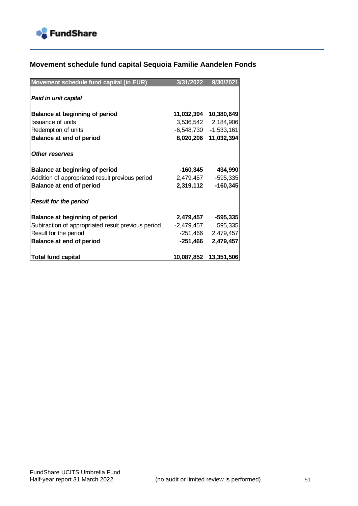

## **Movement schedule fund capital Sequoia Familie Aandelen Fonds**

| Movement schedule fund capital (in EUR)            | 3/31/2022  | 9/30/2021                 |
|----------------------------------------------------|------------|---------------------------|
| Paid in unit capital                               |            |                           |
| Balance at beginning of period                     |            | 11,032,394 10,380,649     |
| Issuance of units                                  |            | 3,536,542 2,184,906       |
| Redemption of units                                |            | $-6,548,730$ $-1,533,161$ |
| Balance at end of period                           | 8,020,206  | 11,032,394                |
|                                                    |            |                           |
| <b>Other reserves</b>                              |            |                           |
| <b>Balance at beginning of period</b>              | -160,345   | 434,990                   |
| Addition of appropriated result previous period    | 2,479,457  | $-595,335$                |
| Balance at end of period                           | 2,319,112  | $-160,345$                |
|                                                    |            |                           |
| <b>Result for the period</b>                       |            |                           |
| <b>Balance at beginning of period</b>              | 2,479,457  | $-595,335$                |
| Subtraction of appropriated result previous period | -2,479,457 | 595,335                   |
| Result for the period                              |            | $-251,466$ 2,479,457      |
| Balance at end of period                           | -251,466   | 2,479,457                 |
|                                                    |            |                           |
| <b>Total fund capital</b>                          | 10,087,852 | 13,351,506                |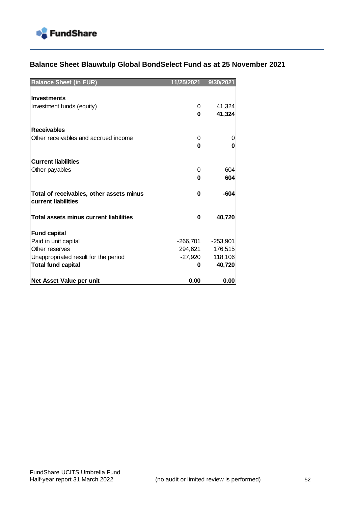

## **Balance Sheet Blauwtulp Global BondSelect Fund as at 25 November 2021**

| <b>Balance Sheet (in EUR)</b>                 | 11/25/2021 | 9/30/2021  |
|-----------------------------------------------|------------|------------|
|                                               |            |            |
| <b>Investments</b>                            |            |            |
| Investment funds (equity)                     | 0          | 41,324     |
|                                               | $\bf{0}$   | 41,324     |
| <b>Receivables</b>                            |            |            |
| Other receivables and accrued income          | 0          | 0          |
|                                               | 0          | 0          |
|                                               |            |            |
| <b>Current liabilities</b>                    |            |            |
| Other payables                                | 0          | 604        |
|                                               | 0          | 604        |
|                                               |            |            |
| Total of receivables, other assets minus      | 0          | -604       |
| current liabilities                           |            |            |
| <b>Total assets minus current liabilities</b> | 0          | 40,720     |
|                                               |            |            |
| <b>Fund capital</b>                           |            |            |
| Paid in unit capital                          | -266,701   | $-253,901$ |
| Other reserves                                | 294,621    | 176,515    |
| Unappropriated result for the period          | -27,920    | 118,106    |
| <b>Total fund capital</b>                     | 0          | 40,720     |
|                                               |            |            |
| Net Asset Value per unit                      | 0.00       | 0.00       |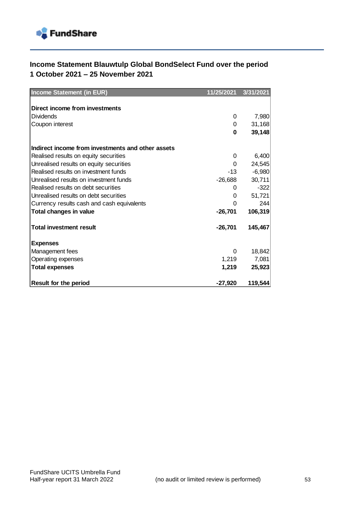

## **Income Statement Blauwtulp Global BondSelect Fund over the period 1 October 2021 – 25 November 2021**

| Income Statement (in EUR)                         | 11/25/2021 | 3/31/2021 |
|---------------------------------------------------|------------|-----------|
|                                                   |            |           |
| Direct income from investments                    |            |           |
| <b>Dividends</b>                                  | 0          | 7,980     |
| Coupon interest                                   | 0          | 31,168    |
|                                                   | $\bf{0}$   | 39,148    |
|                                                   |            |           |
| Indirect income from investments and other assets |            |           |
| Realised results on equity securities             | 0          | 6,400     |
| Unrealised results on equity securities           | 0          | 24,545    |
| Realised results on investment funds              | $-13$      | $-6,980$  |
| Unrealised results on investment funds            | $-26,688$  | 30,711    |
| Realised results on debt securities               | 0          | $-322$    |
| Unrealised results on debt securities             | 0          | 51,721    |
| Currency results cash and cash equivalents        | $\Omega$   | 244       |
| Total changes in value                            | $-26,701$  | 106,319   |
| <b>Total investment result</b>                    | $-26,701$  | 145,467   |
| <b>Expenses</b>                                   |            |           |
| Management fees                                   | $\Omega$   | 18,842    |
| Operating expenses                                | 1,219      | 7,081     |
| <b>Total expenses</b>                             | 1,219      | 25,923    |
| <b>Result for the period</b>                      | $-27,920$  | 119,544   |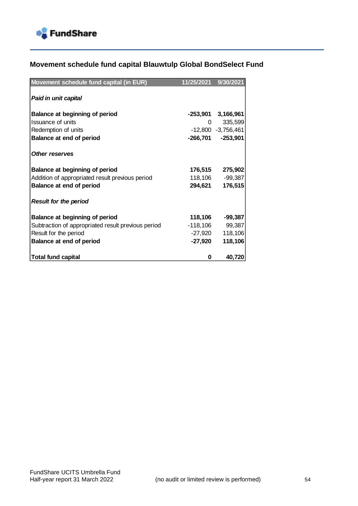

## **Movement schedule fund capital Blauwtulp Global BondSelect Fund**

| Movement schedule fund capital (in EUR)            | 11/25/2021 | 9/30/2021            |
|----------------------------------------------------|------------|----------------------|
|                                                    |            |                      |
| Paid in unit capital                               |            |                      |
|                                                    |            |                      |
| Balance at beginning of period                     |            | $-253,901$ 3,166,961 |
| Issuance of units                                  | 0          | 335,599              |
| Redemption of units                                |            | $-12,800 -3,756,461$ |
| <b>Balance at end of period</b>                    | -266,701   | $-253,901$           |
|                                                    |            |                      |
| <b>Other reserves</b>                              |            |                      |
|                                                    |            |                      |
| <b>Balance at beginning of period</b>              |            | 176,515 275,902      |
| Addition of appropriated result previous period    | 118,106    | $-99,387$            |
| Balance at end of period                           | 294,621    | 176,515              |
| <b>Result for the period</b>                       |            |                      |
|                                                    |            |                      |
| Balance at beginning of period                     | 118,106    | $-99,387$            |
| Subtraction of appropriated result previous period | -118,106   | 99,387               |
| Result for the period                              | -27,920    | 118,106              |
| Balance at end of period                           | -27,920    | 118,106              |
|                                                    |            |                      |
| <b>Total fund capital</b>                          | 0          | 40,720               |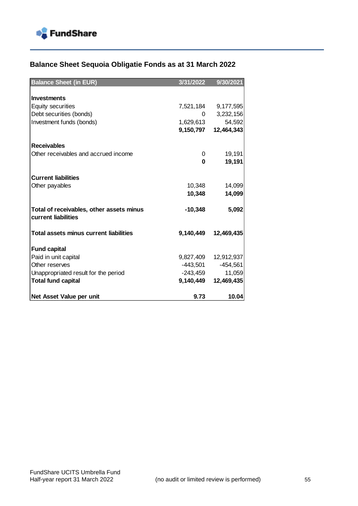

# **Balance Sheet Sequoia Obligatie Fonds as at 31 March 2022**

| <b>Balance Sheet (in EUR)</b>            | 3/31/2022 | 9/30/2021  |
|------------------------------------------|-----------|------------|
|                                          |           |            |
| <b>Investments</b>                       |           |            |
| <b>Equity securities</b>                 | 7,521,184 | 9,177,595  |
| Debt securities (bonds)                  | $\Omega$  | 3,232,156  |
| Investment funds (bonds)                 | 1,629,613 | 54,592     |
|                                          | 9,150,797 | 12,464,343 |
|                                          |           |            |
| <b>Receivables</b>                       |           |            |
| Other receivables and accrued income     | 0         | 19,191     |
|                                          | 0         | 19,191     |
|                                          |           |            |
| <b>Current liabilities</b>               |           |            |
| Other payables                           | 10,348    | 14,099     |
|                                          | 10,348    | 14,099     |
| Total of receivables, other assets minus | $-10,348$ | 5,092      |
| current liabilities                      |           |            |
| Total assets minus current liabilities   | 9,140,449 | 12,469,435 |
|                                          |           |            |
| <b>Fund capital</b>                      |           |            |
| Paid in unit capital                     | 9,827,409 | 12,912,937 |
| Other reserves                           | -443,501  | $-454,561$ |
| Unappropriated result for the period     | -243,459  | 11,059     |
| <b>Total fund capital</b>                | 9,140,449 | 12,469,435 |
|                                          |           |            |
| Net Asset Value per unit                 | 9.73      | 10.04      |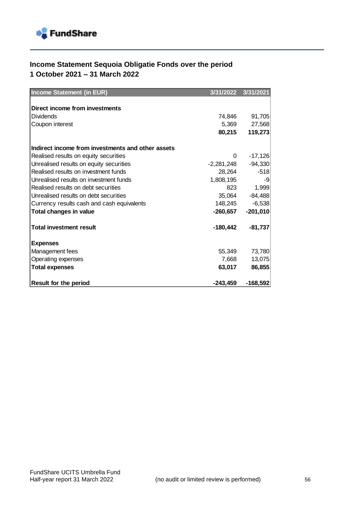

## **Income Statement Sequoia Obligatie Fonds over the period 1 October 2021 – 31 March 2022**

| <b>Income Statement (in EUR)</b>                  | 3/31/2022  | 3/31/2021  |
|---------------------------------------------------|------------|------------|
|                                                   |            |            |
| Direct income from investments                    |            |            |
| <b>Dividends</b>                                  | 74,846     | 91,705     |
| Coupon interest                                   | 5,369      | 27,568     |
|                                                   | 80,215     | 119,273    |
|                                                   |            |            |
| Indirect income from investments and other assets |            |            |
| Realised results on equity securities             | 0          | $-17,126$  |
| Unrealised results on equity securities           | -2,281,248 | $-94,330$  |
| Realised results on investment funds              | 28,264     | $-518$     |
| Unrealised results on investment funds            | 1,808,195  | -9         |
| Realised results on debt securities               | 823        | 1,999      |
| Unrealised results on debt securities             | 35,064     | $-84,488$  |
| Currency results cash and cash equivalents        | 148,245    | $-6,538$   |
| Total changes in value                            | $-260,657$ | $-201,010$ |
| <b>Total investment result</b>                    | $-180,442$ | $-81,737$  |
| <b>Expenses</b>                                   |            |            |
| Management fees                                   | 55,349     | 73,780     |
| Operating expenses                                | 7,668      | 13,075     |
| <b>Total expenses</b>                             | 63,017     | 86,855     |
| <b>Result for the period</b>                      | $-243,459$ | $-168,592$ |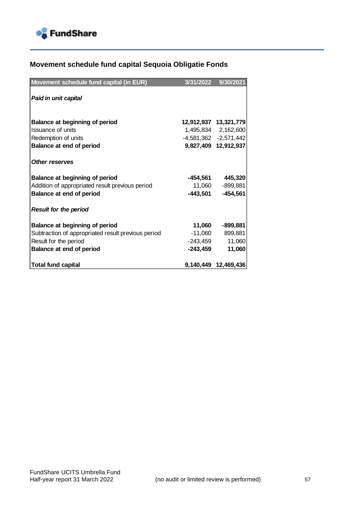

# **Movement schedule fund capital Sequoia Obligatie Fonds**

| Movement schedule fund capital (in EUR)            | 3/31/2022 | 9/30/2021                 |
|----------------------------------------------------|-----------|---------------------------|
| Paid in unit capital                               |           |                           |
| <b>Balance at beginning of period</b>              |           | 12,912,937 13,321,779     |
| Issuance of units                                  |           | 1,495,834 2,162,600       |
| Redemption of units                                |           | $-4,581,362$ $-2,571,442$ |
| Balance at end of period                           |           | 9,827,409 12,912,937      |
| <b>Other reserves</b>                              |           |                           |
| <b>Balance at beginning of period</b>              | -454,561  | 445,320                   |
| Addition of appropriated result previous period    | 11,060    | $-899,881$                |
| Balance at end of period                           | -443,501  | $-454,561$                |
| <b>Result for the period</b>                       |           |                           |
| <b>Balance at beginning of period</b>              | 11,060    | $-899,881$                |
| Subtraction of appropriated result previous period | -11,060   | 899,881                   |
| Result for the period                              | -243,459  | 11,060                    |
| Balance at end of period                           | -243,459  | 11,060                    |
| <b>Total fund capital</b>                          |           | 9,140,449 12,469,436      |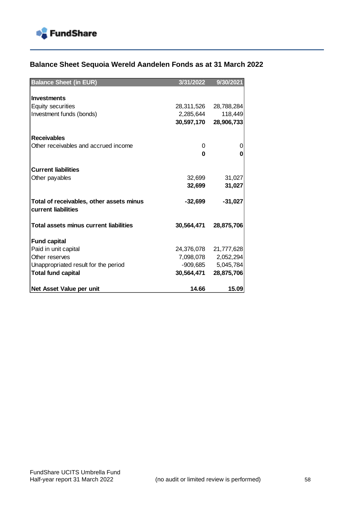

## **Balance Sheet Sequoia Wereld Aandelen Fonds as at 31 March 2022**

| <b>Balance Sheet (in EUR)</b>                 | 3/31/2022  | 9/30/2021  |
|-----------------------------------------------|------------|------------|
|                                               |            |            |
| <b>Investments</b>                            |            |            |
| <b>Equity securities</b>                      | 28,311,526 | 28,788,284 |
| Investment funds (bonds)                      | 2,285,644  | 118,449    |
|                                               | 30,597,170 | 28,906,733 |
|                                               |            |            |
| <b>Receivables</b>                            |            |            |
| Other receivables and accrued income          | 0          | 0          |
|                                               | 0          | 0          |
|                                               |            |            |
| <b>Current liabilities</b>                    |            |            |
| Other payables                                | 32,699     | 31,027     |
|                                               | 32,699     | 31,027     |
| Total of receivables, other assets minus      | $-32,699$  | $-31,027$  |
| current liabilities                           |            |            |
| <b>Total assets minus current liabilities</b> |            |            |
|                                               | 30,564,471 | 28,875,706 |
| <b>Fund capital</b>                           |            |            |
| Paid in unit capital                          | 24,376,078 | 21,777,628 |
| Other reserves                                | 7,098,078  | 2,052,294  |
| Unappropriated result for the period          | -909,685   | 5,045,784  |
| <b>Total fund capital</b>                     | 30,564,471 | 28,875,706 |
|                                               |            |            |
| Net Asset Value per unit                      | 14.66      | 15.09      |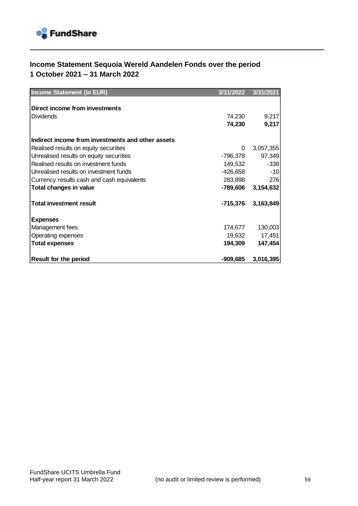

## **Income Statement Sequoia Wereld Aandelen Fonds over the period 1 October 2021 – 31 March 2022**

| <b>Income Statement (in EUR)</b>                  | 3/31/2022  | 3/31/2021 |
|---------------------------------------------------|------------|-----------|
|                                                   |            |           |
| Direct income from investments                    |            |           |
| <b>Dividends</b>                                  | 74,230     | 9,217     |
|                                                   | 74,230     | 9,217     |
|                                                   |            |           |
| Indirect income from investments and other assets |            |           |
| Realised results on equity securities             | 0          | 3,057,355 |
| Unrealised results on equity securities           | -796,378   | 97,349    |
| Realised results on investment funds              | 149,532    | $-338$    |
| Unrealised results on investment funds            | -426,658   | $-10$     |
| Currency results cash and cash equivalents        | 283,898    | 276       |
| <b>Total changes in value</b>                     | -789,606   | 3,154,632 |
| <b>Total investment result</b>                    | -715,376   | 3,163,849 |
| <b>Expenses</b>                                   |            |           |
| Management fees                                   | 174,677    | 130,003   |
| Operating expenses                                | 19,632     | 17,451    |
| <b>Total expenses</b>                             | 194,309    | 147,454   |
| <b>Result for the period</b>                      | $-909,685$ | 3,016,395 |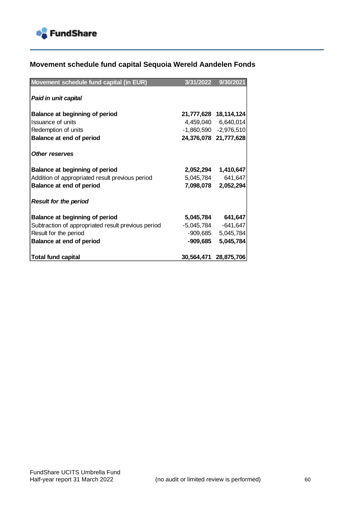

## **Movement schedule fund capital Sequoia Wereld Aandelen Fonds**

| Movement schedule fund capital (in EUR)            | 3/31/2022  | 9/30/2021                 |
|----------------------------------------------------|------------|---------------------------|
| Paid in unit capital                               |            |                           |
| <b>Balance at beginning of period</b>              |            | 21,777,628 18,114,124     |
| Issuance of units                                  |            | 4,459,040 6,640,014       |
| Redemption of units                                |            | $-1,860,590$ $-2,976,510$ |
| <b>Balance at end of period</b>                    |            | 24,376,078 21,777,628     |
| <b>Other reserves</b>                              |            |                           |
| <b>Balance at beginning of period</b>              |            | 2,052,294 1,410,647       |
| Addition of appropriated result previous period    | 5,045,784  | 641,647                   |
| Balance at end of period                           |            | 7,098,078 2,052,294       |
| <b>Result for the period</b>                       |            |                           |
| <b>Balance at beginning of period</b>              |            | 5,045,784 641,647         |
| Subtraction of appropriated result previous period | -5,045,784 | $-641,647$                |
| Result for the period                              |            | -909,685 5,045,784        |
| Balance at end of period                           |            | -909,685 5,045,784        |
| <b>Total fund capital</b>                          |            | 30,564,471 28,875,706     |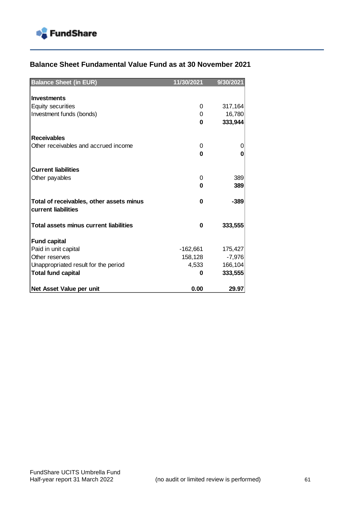

## **Balance Sheet Fundamental Value Fund as at 30 November 2021**

| <b>Balance Sheet (in EUR)</b>                                   | 11/30/2021 | 9/30/2021 |
|-----------------------------------------------------------------|------------|-----------|
|                                                                 |            |           |
| <b>Investments</b>                                              |            |           |
| <b>Equity securities</b>                                        | 0          | 317,164   |
| Investment funds (bonds)                                        | 0          | 16,780    |
|                                                                 | 0          | 333,944   |
| <b>Receivables</b>                                              |            |           |
| Other receivables and accrued income                            | $\Omega$   | 0         |
|                                                                 | 0          | 0         |
|                                                                 |            |           |
| <b>Current liabilities</b>                                      |            |           |
| Other payables                                                  | 0          | 389       |
|                                                                 | 0          | 389       |
| Total of receivables, other assets minus<br>current liabilities | 0          | $-389$    |
| <b>Total assets minus current liabilities</b>                   | 0          | 333,555   |
| <b>Fund capital</b>                                             |            |           |
| Paid in unit capital                                            | $-162,661$ | 175,427   |
| Other reserves                                                  | 158,128    | $-7,976$  |
| Unappropriated result for the period                            | 4,533      | 166,104   |
| <b>Total fund capital</b>                                       | 0          | 333,555   |
| Net Asset Value per unit                                        | 0.00       | 29.97     |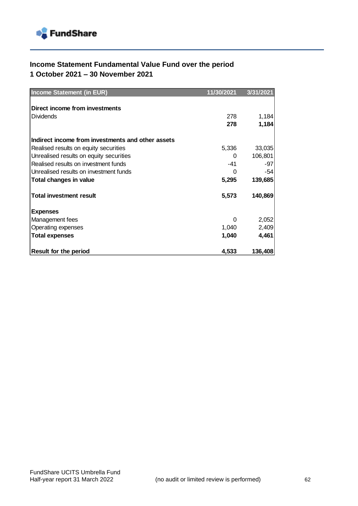

## **Income Statement Fundamental Value Fund over the period 1 October 2021 – 30 November 2021**

| <b>Income Statement (in EUR)</b>                  | 11/30/2021 | 3/31/2021 |
|---------------------------------------------------|------------|-----------|
|                                                   |            |           |
| Direct income from investments                    |            |           |
| <b>Dividends</b>                                  | 278        | 1,184     |
|                                                   | 278        | 1,184     |
|                                                   |            |           |
| Indirect income from investments and other assets |            |           |
| Realised results on equity securities             | 5,336      | 33,035    |
| Unrealised results on equity securities           | 0          | 106,801   |
| Realised results on investment funds              | $-41$      | -97       |
| Unrealised results on investment funds            | 0          | -54       |
| Total changes in value                            | 5,295      | 139,685   |
| <b>Total investment result</b>                    | 5,573      | 140,869   |
| <b>Expenses</b>                                   |            |           |
| Management fees                                   | 0          | 2,052     |
| Operating expenses                                | 1,040      | 2,409     |
| <b>Total expenses</b>                             | 1,040      | 4,461     |
|                                                   |            |           |
| <b>Result for the period</b>                      | 4,533      | 136,408   |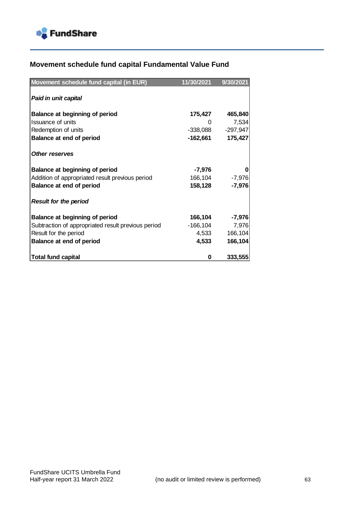

## **Movement schedule fund capital Fundamental Value Fund**

| Movement schedule fund capital (in EUR)            | 11/30/2021 | 9/30/2021  |
|----------------------------------------------------|------------|------------|
| Paid in unit capital                               |            |            |
| Balance at beginning of period                     | 175,427    | 465,840    |
| <b>Issuance of units</b>                           |            | 7,534      |
| Redemption of units                                | -338,088   | $-297,947$ |
| <b>Balance at end of period</b>                    | -162,661   | 175,427    |
| <b>Other reserves</b>                              |            |            |
| <b>Balance at beginning of period</b>              | -7,976     |            |
| Addition of appropriated result previous period    | 166,104    | $-7,976$   |
| Balance at end of period                           | 158,128    | $-7,976$   |
| <b>Result for the period</b>                       |            |            |
| <b>Balance at beginning of period</b>              | 166,104    | $-7,976$   |
| Subtraction of appropriated result previous period | -166,104   | 7,976      |
| Result for the period                              | 4,533      | 166,104    |
| Balance at end of period                           | 4,533      | 166,104    |
| <b>Total fund capital</b>                          | 0          | 333,555    |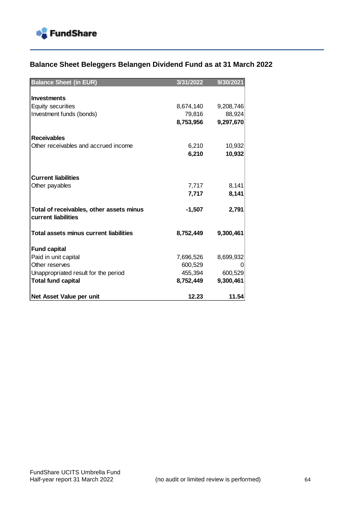

## **Balance Sheet Beleggers Belangen Dividend Fund as at 31 March 2022**

| <b>Balance Sheet (in EUR)</b>                                   | 3/31/2022 | 9/30/2021 |
|-----------------------------------------------------------------|-----------|-----------|
|                                                                 |           |           |
| <b>Investments</b>                                              |           |           |
| <b>Equity securities</b>                                        | 8,674,140 | 9,208,746 |
| Investment funds (bonds)                                        | 79,816    | 88,924    |
|                                                                 | 8,753,956 | 9,297,670 |
| <b>Receivables</b>                                              |           |           |
| Other receivables and accrued income                            | 6,210     | 10,932    |
|                                                                 | 6,210     | 10,932    |
|                                                                 |           |           |
| <b>Current liabilities</b>                                      |           |           |
| Other payables                                                  | 7,717     | 8,141     |
|                                                                 | 7,717     | 8,141     |
| Total of receivables, other assets minus<br>current liabilities | $-1,507$  | 2,791     |
|                                                                 |           |           |
| <b>Total assets minus current liabilities</b>                   | 8,752,449 | 9,300,461 |
| <b>Fund capital</b>                                             |           |           |
| Paid in unit capital                                            | 7,696,526 | 8,699,932 |
| Other reserves                                                  | 600,529   |           |
| Unappropriated result for the period                            | 455,394   | 600,529   |
| <b>Total fund capital</b>                                       | 8,752,449 | 9,300,461 |
| Net Asset Value per unit                                        | 12.23     | 11.54     |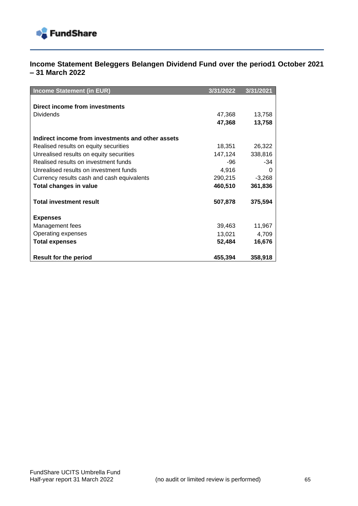

### **Income Statement Beleggers Belangen Dividend Fund over the period1 October 2021 – 31 March 2022**

| <b>Income Statement (in EUR)</b>                  | 3/31/2022 | 3/31/2021 |
|---------------------------------------------------|-----------|-----------|
|                                                   |           |           |
| Direct income from investments                    |           |           |
| <b>Dividends</b>                                  | 47,368    | 13,758    |
|                                                   | 47,368    | 13,758    |
|                                                   |           |           |
| Indirect income from investments and other assets |           |           |
| Realised results on equity securities             | 18,351    | 26,322    |
| Unrealised results on equity securities           | 147,124   | 338,816   |
| Realised results on investment funds              | -96       | -34       |
| Unrealised results on investment funds            | 4,916     | 0         |
| Currency results cash and cash equivalents        | 290,215   | $-3,268$  |
| <b>Total changes in value</b>                     | 460,510   | 361,836   |
| <b>Total investment result</b>                    | 507,878   | 375,594   |
| <b>Expenses</b>                                   |           |           |
| Management fees                                   | 39,463    | 11,967    |
| Operating expenses                                | 13,021    | 4,709     |
| <b>Total expenses</b>                             | 52,484    | 16,676    |
| <b>Result for the period</b>                      | 455,394   | 358,918   |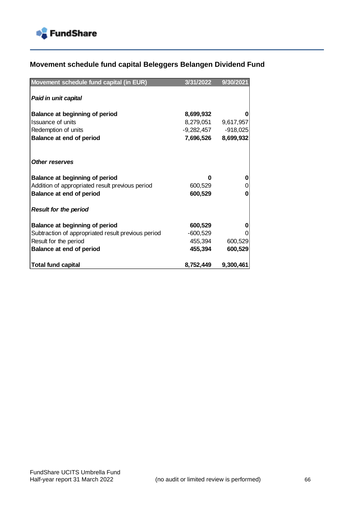

# **Movement schedule fund capital Beleggers Belangen Dividend Fund**

| Movement schedule fund capital (in EUR)            | 3/31/2022  | 9/30/2021  |
|----------------------------------------------------|------------|------------|
| Paid in unit capital                               |            |            |
| <b>Balance at beginning of period</b>              | 8,699,932  |            |
| Issuance of units                                  | 8,279,051  | 9,617,957  |
| Redemption of units                                | -9,282,457 | $-918,025$ |
| <b>Balance at end of period</b>                    | 7,696,526  | 8,699,932  |
|                                                    |            |            |
| <b>Other reserves</b>                              |            |            |
| Balance at beginning of period                     | U          |            |
| Addition of appropriated result previous period    | 600,529    |            |
| Balance at end of period                           | 600,529    | O          |
| <b>Result for the period</b>                       |            |            |
| <b>Balance at beginning of period</b>              | 600,529    |            |
| Subtraction of appropriated result previous period | $-600,529$ |            |
| Result for the period                              | 455,394    | 600,529    |
| <b>Balance at end of period</b>                    | 455,394    | 600,529    |
| <b>Total fund capital</b>                          | 8,752,449  | 9,300,461  |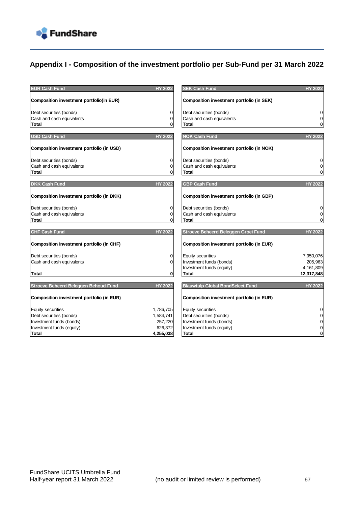

## **Appendix I - Composition of the investment portfolio per Sub-Fund per 31 March 2022**

| <b>EUR Cash Fund</b>                             | <b>HY 2022</b> | <b>SEK Cash Fund</b>                             | <b>HY 2022</b>   |
|--------------------------------------------------|----------------|--------------------------------------------------|------------------|
| <b>Composition investment portfolio(in EUR)</b>  |                | <b>Composition investment portfolio (in SEK)</b> |                  |
| Debt securities (bonds)                          | 0              | Debt securities (bonds)                          | $\boldsymbol{0}$ |
| Cash and cash equivalents                        | $\mathbf 0$    | Cash and cash equivalents                        | $\mathbf 0$      |
| Total                                            | 0              | <b>Total</b>                                     | $\pmb{0}$        |
| <b>USD Cash Fund</b>                             | <b>HY 2022</b> | <b>NOK Cash Fund</b>                             | <b>HY 2022</b>   |
| Composition investment portfolio (in USD)        |                | <b>Composition investment portfolio (in NOK)</b> |                  |
| Debt securities (bonds)                          | 0              | Debt securities (bonds)                          | $\boldsymbol{0}$ |
| Cash and cash equivalents                        | 0              | Cash and cash equivalents                        | $\mathbf 0$      |
| <b>Total</b>                                     | 0              | <b>Total</b>                                     | $\pmb{0}$        |
| <b>DKK Cash Fund</b>                             | <b>HY 2022</b> | <b>GBP Cash Fund</b>                             | <b>HY 2022</b>   |
| Composition investment portfolio (in DKK)        |                | Composition investment portfolio (in GBP)        |                  |
| Debt securities (bonds)                          | 0              | Debt securities (bonds)                          | $\pmb{0}$        |
| Cash and cash equivalents                        | 0              | Cash and cash equivalents                        | $\mathbf 0$      |
| <b>Total</b>                                     | 0              | <b>Total</b>                                     | $\mathbf 0$      |
| <b>CHF Cash Fund</b>                             | <b>HY 2022</b> | Stroeve Beheerd Beleggen Groei Fund              | <b>HY 2022</b>   |
| Composition investment portfolio (in CHF)        |                | Composition investment portfolio (in EUR)        |                  |
| Debt securities (bonds)                          | 0              | Equity securities                                | 7,950,076        |
| Cash and cash equivalents                        | 0              | Investment funds (bonds)                         | 205,963          |
|                                                  |                | Investment funds (equity)                        | 4,161,809        |
| <b>Total</b>                                     | $\mathbf 0$    | <b>Total</b>                                     | 12,317,848       |
| Stroeve Beheerd Beleggen Behoud Fund             | <b>HY 2022</b> | <b>Blauwtulp Global BondSelect Fund</b>          | <b>HY 2022</b>   |
| <b>Composition investment portfolio (in EUR)</b> |                | <b>Composition investment portfolio (in EUR)</b> |                  |
| Equity securities                                | 1,786,705      | Equity securities                                | $\mathbf 0$      |
| Debt securities (bonds)                          | 1,584,741      | Debt securities (bonds)                          | $\pmb{0}$        |
| Investment funds (bonds)                         | 257,220        | Investment funds (bonds)                         | $\mathbf 0$      |
| Investment funds (equity)                        | 626,372        | Investment funds (equity)                        | $\pmb{0}$        |
| <b>Total</b>                                     | 4,255,038      | Total                                            | $\mathbf 0$      |